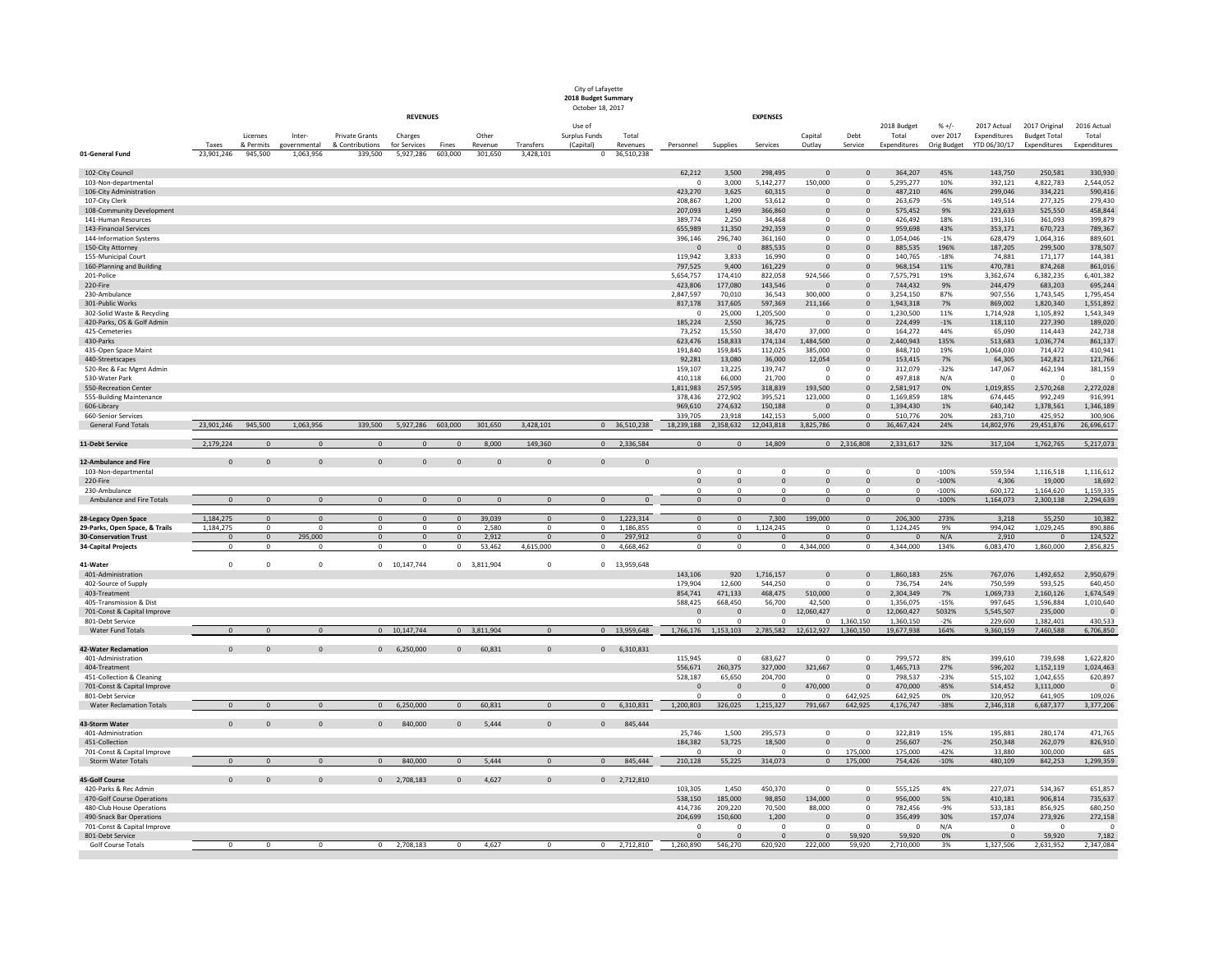|                                                          |                     |                      |                           |                            |                           |                  |                    |                        | City of Lafayette<br>2018 Budget Summary<br>October 18, 2017 |                        |                               |                         |                            |                          |                                         |                        |                      |                             |                                      |                        |
|----------------------------------------------------------|---------------------|----------------------|---------------------------|----------------------------|---------------------------|------------------|--------------------|------------------------|--------------------------------------------------------------|------------------------|-------------------------------|-------------------------|----------------------------|--------------------------|-----------------------------------------|------------------------|----------------------|-----------------------------|--------------------------------------|------------------------|
|                                                          |                     |                      |                           |                            | <b>REVENUES</b>           |                  |                    |                        |                                                              |                        |                               |                         | <b>EXPENSES</b>            |                          |                                         |                        |                      |                             |                                      |                        |
|                                                          |                     | Licenses             | Inter-                    | <b>Private Grants</b>      | Charges                   |                  | Other              |                        | Use of<br>Surplus Funds                                      | Total                  |                               |                         |                            | Capital                  | Debt                                    | 2018 Budget<br>Total   | $% +/-$<br>over 2017 | 2017 Actual<br>Expenditures | 2017 Original<br><b>Budget Total</b> | 2016 Actual<br>Total   |
| 01-General Fund                                          | Taxes<br>23,901,246 | & Permits<br>945,500 | governmental<br>1,063,956 | & Contributions<br>339,500 | for Services<br>5,927,286 | Fines<br>603,000 | Revenue<br>301,650 | Transfers<br>3,428,101 | (Capital)<br>$\Omega$                                        | Revenues<br>36,510,238 | Personnel                     | Supplies                | Services                   | Outlay                   | Service                                 | Expenditures           | Orig Budget          | YTD 06/30/17                | Expenditures                         | Expenditures           |
|                                                          |                     |                      |                           |                            |                           |                  |                    |                        |                                                              |                        |                               |                         |                            |                          |                                         |                        |                      |                             |                                      |                        |
| 102-City Council<br>103-Non-departmental                 |                     |                      |                           |                            |                           |                  |                    |                        |                                                              |                        | 62,212                        | 3,500<br>3,000          | 298,495<br>5,142,277       | $\Omega$<br>150,000      | $\Omega$<br>- 0                         | 364,207<br>5,295,277   | 45%<br>10%           | 143,750<br>392,121          | 250,581<br>4,822,783                 | 330,930<br>2,544,052   |
| 106-City Administration                                  |                     |                      |                           |                            |                           |                  |                    |                        |                                                              |                        | 423,270                       | 3,625                   | 60,315                     | $\mathbf{0}$             | $\Omega$                                | 487,210                | 46%                  | 299,046                     | 334,221                              | 590,416                |
| 107-City Clerk                                           |                     |                      |                           |                            |                           |                  |                    |                        |                                                              |                        | 208,867                       | 1,200                   | 53,612                     | 0                        | 0                                       | 263,679                | $-5%$                | 149,514                     | 277,325                              | 279,430                |
| 108-Community Development<br>141-Human Resources         |                     |                      |                           |                            |                           |                  |                    |                        |                                                              |                        | 207,093<br>389,774            | 1,499<br>2,250          | 366,860<br>34,468          | $\mathbf{0}$<br>$\Omega$ | $\Omega$<br>$\Omega$                    | 575,452<br>426,492     | 9%<br>18%            | 223,633<br>191,316          | 525,550<br>361,093                   | 458,844<br>399,879     |
| 143-Financial Services                                   |                     |                      |                           |                            |                           |                  |                    |                        |                                                              |                        | 655,989                       | 11,350                  | 292,359                    | $\mathbf{0}$             | $\Omega$                                | 959,698                | 43%                  | 353,171                     | 670,723                              | 789,367                |
| 144-Information Systems                                  |                     |                      |                           |                            |                           |                  |                    |                        |                                                              |                        | 396,146                       | 296,740                 | 361,160                    | 0                        | - 0                                     | 1,054,046              | -1%                  | 628,479                     | 1,064,316                            | 889,601                |
| 150-City Attorney                                        |                     |                      |                           |                            |                           |                  |                    |                        |                                                              |                        | $\Omega$<br>119,942           | $\overline{0}$<br>3,833 | 885,535<br>16,990          | $\mathbf{0}$<br>0        | $\Omega$                                | 885,535<br>140,765     | 196%<br>$-18%$       | 187,205                     | 299,500                              | 378,507                |
| 155-Municipal Court<br>160-Planning and Building         |                     |                      |                           |                            |                           |                  |                    |                        |                                                              |                        | 797,525                       | 9,400                   | 161,229                    | $\Omega$                 | $\Omega$                                | 968,154                | 11%                  | 74,881<br>470,781           | 171,177<br>874,268                   | 144,381<br>861,016     |
| 201-Police                                               |                     |                      |                           |                            |                           |                  |                    |                        |                                                              |                        | 5,654,757                     | 174,410                 | 822,058                    | 924,566                  | $\Omega$                                | 7,575,791              | 19%                  | 3,362,674                   | 6,382,235                            | 6,401,382              |
| 220-Fire                                                 |                     |                      |                           |                            |                           |                  |                    |                        |                                                              |                        | 423,806                       | 177,080                 | 143,546                    | $\Omega$                 | $\Omega$                                | 744,432                | 9%                   | 244,479                     | 683,203                              | 695,244                |
| 230-Ambulance<br>301-Public Works                        |                     |                      |                           |                            |                           |                  |                    |                        |                                                              |                        | 2,847,597<br>817,178          | 70,010<br>317,605       | 36,543<br>597,369          | 300,000<br>211,166       | $\Omega$                                | 3,254,150<br>1,943,318 | 87%<br>7%            | 907,556<br>869,002          | 1,743,545<br>1,820,340               | 1,795,454<br>1,551,892 |
| 302-Solid Waste & Recycling                              |                     |                      |                           |                            |                           |                  |                    |                        |                                                              |                        |                               | 25,000                  | 1,205,500                  | $\Omega$                 |                                         | 1,230,500              | 11%                  | 1,714,928                   | 1,105,892                            | 1,543,349              |
| 420-Parks, OS & Golf Admin                               |                     |                      |                           |                            |                           |                  |                    |                        |                                                              |                        | 185,224                       | 2,550                   | 36,725                     | $\mathbf{0}$             | $\Omega$                                | 224,499                | $-1%$                | 118,110                     | 227,390                              | 189,020                |
| 425-Cemeteries                                           |                     |                      |                           |                            |                           |                  |                    |                        |                                                              |                        | 73,252                        | 15,550                  | 38,470                     | 37,000                   | $\Omega$                                | 164,272                | 44%                  | 65,090                      | 114,443                              | 242,738                |
| 430-Parks<br>435-Open Space Maint                        |                     |                      |                           |                            |                           |                  |                    |                        |                                                              |                        | 623,476<br>191,840            | 158,833<br>159,845      | 174,134<br>112,025         | 1,484,500<br>385,000     | $\mathbf{0}$<br>$\overline{\mathbf{0}}$ | 2,440,943<br>848,710   | 135%<br>19%          | 513,683<br>1,064,030        | 1,036,774<br>714,472                 | 861,137<br>410,941     |
| 440-Streetscapes                                         |                     |                      |                           |                            |                           |                  |                    |                        |                                                              |                        | 92,281                        | 13,080                  | 36,000                     | 12,054                   | $\mathbf{0}$                            | 153,415                | 7%                   | 64,305                      | 142,821                              | 121,766                |
| 520-Rec & Fac Mgmt Admin                                 |                     |                      |                           |                            |                           |                  |                    |                        |                                                              |                        | 159,107                       | 13,225                  | 139,747                    |                          | 0                                       | 312,079                | $-32%$               | 147,067                     | 462,194                              | 381,159                |
| 530-Water Park<br>550-Recreation Center                  |                     |                      |                           |                            |                           |                  |                    |                        |                                                              |                        | 410,118<br>1,811,983          | 66,000<br>257,595       | 21,700<br>318,839          | 0<br>193,500             | $\Omega$<br>$\Omega$                    | 497,818<br>2,581,917   | N/A<br>0%            | $\overline{0}$<br>1,019,855 | 0<br>2,570,268                       | 2,272,028              |
| 555-Building Maintenance                                 |                     |                      |                           |                            |                           |                  |                    |                        |                                                              |                        | 378,436                       | 272,902                 | 395,521                    | 123,000                  | $\Omega$                                | 1,169,859              | 18%                  | 674,445                     | 992,249                              | 916,991                |
| 606-Library                                              |                     |                      |                           |                            |                           |                  |                    |                        |                                                              |                        | 969,610                       | 274,632                 | 150,188                    | $\Omega$                 | $\Omega$                                | 1,394,430              | 1%                   | 640,142                     | 1,378,561                            | 1,346,189              |
| 660-Senior Services                                      |                     |                      |                           |                            |                           |                  |                    |                        |                                                              |                        | 339,705                       | 23,918                  | 142,153                    | 5,000                    | $\Omega$                                | 510,776                | 20%                  | 283,710                     | 425,952                              | 300,906                |
| <b>General Fund Totals</b>                               | 23,901,246          | 945,500              | 1,063,956                 | 339,500                    | 5,927,286                 | 603,000          | 301,650            | 3,428,101              |                                                              | 0 36,510,238           | 18,239,188                    | 2,358,632               | 12,043,818                 | 3,825,786                | $\Omega$                                | 36,467,424             | 24%                  | 14,802,976                  | 29,451,876                           | 26,696,617             |
| 11-Debt Service                                          | 2,179,224           |                      | $\Omega$                  | $\Omega$                   | $\Omega$                  |                  | 8,000              | 149,360                | $\Omega$                                                     | 2,336,584              | $\Omega$                      | $\Omega$                | 14,809                     |                          | $0$ 2,316,808                           | 2,331,617              | 32%                  | 317,104                     | 1,762,765                            | 5,217,073              |
| 12-Ambulance and Fire                                    | $\Omega$            | $\Omega$             | $\Omega$                  | $\Omega$                   | $\Omega$                  | $\Omega$         | $\Omega$           | $\Omega$               | $\Omega$                                                     | $\Omega$               |                               |                         |                            |                          |                                         |                        |                      |                             |                                      |                        |
| 103-Non-departmental<br>220-Fire                         |                     |                      |                           |                            |                           |                  |                    |                        |                                                              |                        | $\mathbf 0$<br>$\overline{0}$ | $\mathbf 0$<br>$\Omega$ | 0<br>$\Omega$              | $\Omega$<br>$\Omega$     | $\Omega$<br>$\Omega$                    | $\Omega$<br>$\Omega$   | $-100%$<br>$-100%$   | 559,594<br>4,306            | 1,116,518<br>19,000                  | 1,116,612<br>18,692    |
| 230-Ambulance                                            |                     |                      |                           |                            |                           |                  |                    |                        |                                                              |                        | $\Omega$                      | $\Omega$                | $\Omega$                   | $\Omega$                 | $\Omega$                                | $\Omega$               | $-100%$              | 600,172                     | 1,164,620                            | 1,159,335              |
| Ambulance and Fire Totals                                | $\Omega$            | $\Omega$             | $\Omega$                  | $\Omega$                   | $\Omega$                  | $\Omega$         | $\Omega$           | $\Omega$               | $\Omega$                                                     | $\Omega$               | $\Omega$                      | $\Omega$                | $\Omega$                   | $\Omega$                 | $\Omega$                                | $\Omega$               | $-100%$              | 1,164,073                   | 2,300,138                            | 2,294,639              |
| 28-Legacy Open Space                                     | 1,184,275           | $\overline{0}$       | $\Omega$                  | $\Omega$                   | $\Omega$                  | $\Omega$         | 39,039             | $\Omega$               | $\Omega$                                                     | 1,223,314              | $\overline{0}$                | $\Omega$                | 7,300                      | 199,000                  | $\Omega$                                | 206,300                | 273%                 | 3,218                       | 55,250                               | 10,382                 |
| 29-Parks, Open Space, & Trails                           | 1,184,275           | $\overline{0}$       | - 0                       | $\mathbf{0}$               | $\overline{0}$            | $\overline{0}$   | 2,580              | $\Omega$               |                                                              | $0$ 1,186,855          | $\mathbf 0$                   | $\mathbf 0$             | 1,124,245                  | $\overline{0}$           | $\mathbf 0$                             | 1,124,245              | 9%                   | 994,042                     | 1,029,245                            | 890,886                |
| <b>30-Conservation Trust</b>                             | $\Omega$            | $\overline{0}$       | 295,000                   | $\Omega$                   | $\overline{0}$            | $\overline{0}$   | 2,912              | $\Omega$               | $\Omega$                                                     | 297,912                | $\overline{0}$                | $\Omega$                | $\overline{0}$             | $\Omega$                 | $\Omega$                                | $\Omega$               | N/A                  | 2,910                       | - റ                                  | 124,522                |
| <b>34-Capital Projects</b>                               | $\Omega$            | $\Omega$             | - 0                       | $\Omega$                   | $\mathbf 0$               | $\overline{0}$   | 53,462             | 4,615,000              |                                                              | 0 4,668,462            | $\overline{0}$                | $\Omega$                |                            | $0\qquad 4,344,000$      | $\Omega$                                | 4,344,000              | 134%                 | 6,083,470                   | 1,860,000                            | 2,856,825              |
| 41-Water                                                 | $\mathbf{0}$        |                      | 0                         |                            | 0 10,147,744              | $\mathbf{0}$     | 3,811,904          | 0                      |                                                              | 0 13,959,648           |                               |                         |                            |                          |                                         |                        |                      |                             |                                      |                        |
| 401-Administration                                       |                     |                      |                           |                            |                           |                  |                    |                        |                                                              |                        | 143,106                       | 920                     | 1,716,157                  | $\mathbf{0}$             | $\Omega$                                | 1,860,183              | 25%                  | 767,076                     | 1,492,652                            | 2,950,679              |
| 402-Source of Supply                                     |                     |                      |                           |                            |                           |                  |                    |                        |                                                              |                        | 179,904                       | 12,600                  | 544,250                    | $\Omega$                 | $\Omega$                                | 736,754                | 24%                  | 750,599                     | 593,525                              | 640,450                |
| 403-Treatment<br>405-Transmission & Dist                 |                     |                      |                           |                            |                           |                  |                    |                        |                                                              |                        | 854,741<br>588,425            | 471,133<br>668,450      | 468,475<br>56,700          | 510,000<br>42,500        | $\Omega$<br>$\Omega$                    | 2,304,349<br>1,356,075 | 7%<br>$-15%$         | 1,069,733<br>997,645        | 2,160,126<br>1,596,884               | 1,674,549<br>1,010,640 |
| 701-Const & Capital Improve                              |                     |                      |                           |                            |                           |                  |                    |                        |                                                              |                        | $\Omega$                      | $\mathbf{0}$            | $\mathbf{0}$               | 12,060,427               | - 0                                     | 12,060,427             | 5032%                | 5,545,507                   | 235,000                              |                        |
| 801-Debt Service                                         |                     |                      |                           |                            |                           |                  |                    |                        |                                                              |                        |                               |                         | $\Omega$                   | n.                       | 1,360,150                               | 1,360,150              | $-2%$                | 229,600                     | 1,382,401                            | 430,533                |
| <b>Water Fund Totals</b>                                 | $\Omega$            | $\Omega$             | $\Omega$                  |                            | 0 10,147,744              |                  | 0 3,811,904        | $\Omega$               |                                                              | 0 13,959,648           | 1,766,176                     | 1,153,103               | 2,785,582                  | 12,612,927               | 1,360,150                               | 19,677,938             | 164%                 | 9,360,159                   | 7,460,588                            | 6,706,850              |
| <b>42-Water Reclamation</b>                              | $\Omega$            |                      | $\Omega$                  |                            | 0 6,250,000               | $\overline{0}$   | 60,831             | $\Omega$               |                                                              | $0$ 6,310,831          |                               |                         |                            |                          |                                         |                        |                      |                             |                                      |                        |
| 401-Administration                                       |                     |                      |                           |                            |                           |                  |                    |                        |                                                              |                        | 115,945                       | $\Omega$                | 683,627                    | $\Omega$                 | $\Omega$                                | 799,572                | 8%                   | 399,610                     | 739,698                              | 1,622,820              |
| 404-Treatment<br>451-Collection & Cleaning               |                     |                      |                           |                            |                           |                  |                    |                        |                                                              |                        | 556,671<br>528,187            | 260,375<br>65,650       | 327,000<br>204,700         | 321,667<br>$\Omega$      | $\Omega$                                | 1,465,713<br>798,537   | 27%<br>$-23%$        | 596,202<br>515,102          | 1,152,119<br>1,042,655               | 1,024,463<br>620,897   |
| 701-Const & Capital Improve                              |                     |                      |                           |                            |                           |                  |                    |                        |                                                              |                        | $\Omega$                      | $\mathbf{0}$            | $\overline{\mathbf{0}}$    | 470,000                  | $\Omega$                                | 470,000                | $-85%$               | 514,452                     | 3,111,000                            |                        |
| 801-Debt Service                                         |                     |                      |                           |                            |                           |                  |                    |                        |                                                              |                        | $\cap$                        | $\Omega$                | - 0                        |                          | 642,925                                 | 642,925                | 0%                   | 320,952                     | 641,905                              | 109,026                |
| <b>Water Reclamation Totals</b>                          | $\Omega$            | $\cap$               | $\Omega$                  | $\Omega$                   | 6,250,000                 | $\Omega$         | 60,831             | $\Omega$               | $\Omega$                                                     | 6,310,831              | 1,200,803                     | 326,025                 | 1,215,327                  | 791,667                  | 642,925                                 | 4,176,747              | $-38%$               | 2,346,318                   | 6,687,377                            | 3,377,206              |
| 43-Storm Water                                           | $\Omega$            | $\Omega$             | $\Omega$                  | $\Omega$                   | 840,000                   | $\Omega$         | 5,444              | $\Omega$               | $\Omega$                                                     | 845,444                |                               |                         |                            |                          |                                         |                        |                      |                             |                                      |                        |
| 401-Administration                                       |                     |                      |                           |                            |                           |                  |                    |                        |                                                              |                        | 25,746                        | 1,500                   | 295,573                    | $\Omega$                 | $\Omega$                                | 322,819                | 15%                  | 195,881                     | 280,174                              | 471,765                |
| 451-Collection                                           |                     |                      |                           |                            |                           |                  |                    |                        |                                                              |                        | 184,382                       | 53,725                  | 18,500                     | $\Omega$                 | $\Omega$                                | 256,607                | $-2%$                | 250,348                     | 262,079                              | 826,910                |
| 701-Const & Capital Improve<br><b>Storm Water Totals</b> | $\Omega$            | $\Omega$             | $\Omega$                  | - 0                        | 840,000                   | $\overline{0}$   | 5,444              | $\Omega$               | - 0                                                          | 845,444                | 210,128                       | $\Omega$<br>55,225      | - 0<br>314,073             | 0<br>$\mathbf{0}$        | 175,000<br>175,000                      | 175,000<br>754,426     | -42%<br>$-10%$       | 33,880<br>480,109           | 300,000<br>842,253                   | 685<br>1,299,359       |
|                                                          |                     |                      |                           |                            |                           |                  |                    |                        |                                                              |                        |                               |                         |                            |                          |                                         |                        |                      |                             |                                      |                        |
| <b>45-Golf Course</b>                                    | $\Omega$            | $\Omega$             | $\Omega$                  |                            | $0$ 2,708,183             | $\mathbf{0}$     | 4,627              | $\mathbf{0}$           |                                                              | $0$ 2,712,810          |                               |                         |                            |                          |                                         |                        |                      |                             |                                      |                        |
| 420-Parks & Rec Admin<br>470-Golf Course Operations      |                     |                      |                           |                            |                           |                  |                    |                        |                                                              |                        | 103,305<br>538,150            | 1,450<br>185,000        | 450,370<br>98,850          | - 0<br>134,000           | - 0                                     | 555,125<br>956,000     | 4%<br>5%             | 227,071<br>410,181          | 534,367<br>906,814                   | 651,857<br>735,637     |
| 480-Club House Operations                                |                     |                      |                           |                            |                           |                  |                    |                        |                                                              |                        | 414,736                       | 209,220                 | 70,500                     | 88,000                   | $\Omega$                                | 782,456                | $-9%$                | 533,181                     | 856,925                              | 680,250                |
| 490-Snack Bar Operations                                 |                     |                      |                           |                            |                           |                  |                    |                        |                                                              |                        | 204,699                       | 150,600                 | 1,200                      |                          | $\Omega$                                | 356,499                | 30%                  | 157,074                     | 273,926                              | 272,158                |
| 701-Const & Capital Improve                              |                     |                      |                           |                            |                           |                  |                    |                        |                                                              |                        | $\Omega$<br>$\Omega$          | $\Omega$<br>$\Omega$    | $\overline{0}$<br>$\Omega$ |                          | $\mathbf{0}$                            | $\Omega$               | N/A                  | $\Omega$<br>$\Omega$        | $\mathbf 0$                          | $\Omega$               |
| 801-Debt Service<br><b>Golf Course Totals</b>            | $\Omega$            | $\overline{0}$       | $\Omega$                  |                            | $0$ 2,708,183             | $\mathbf 0$      | 4,627              | $\Omega$               | $\mathbf 0$                                                  | 2,712,810              | 1,260,890                     | 546,270                 | 620,920                    | 222,000                  | 59,920<br>59,920                        | 59,920<br>2,710,000    | 0%<br>3%             | 1,327,506                   | 59,920<br>2,631,952                  | 7,182<br>2,347,084     |
|                                                          |                     |                      |                           |                            |                           |                  |                    |                        |                                                              |                        |                               |                         |                            |                          |                                         |                        |                      |                             |                                      |                        |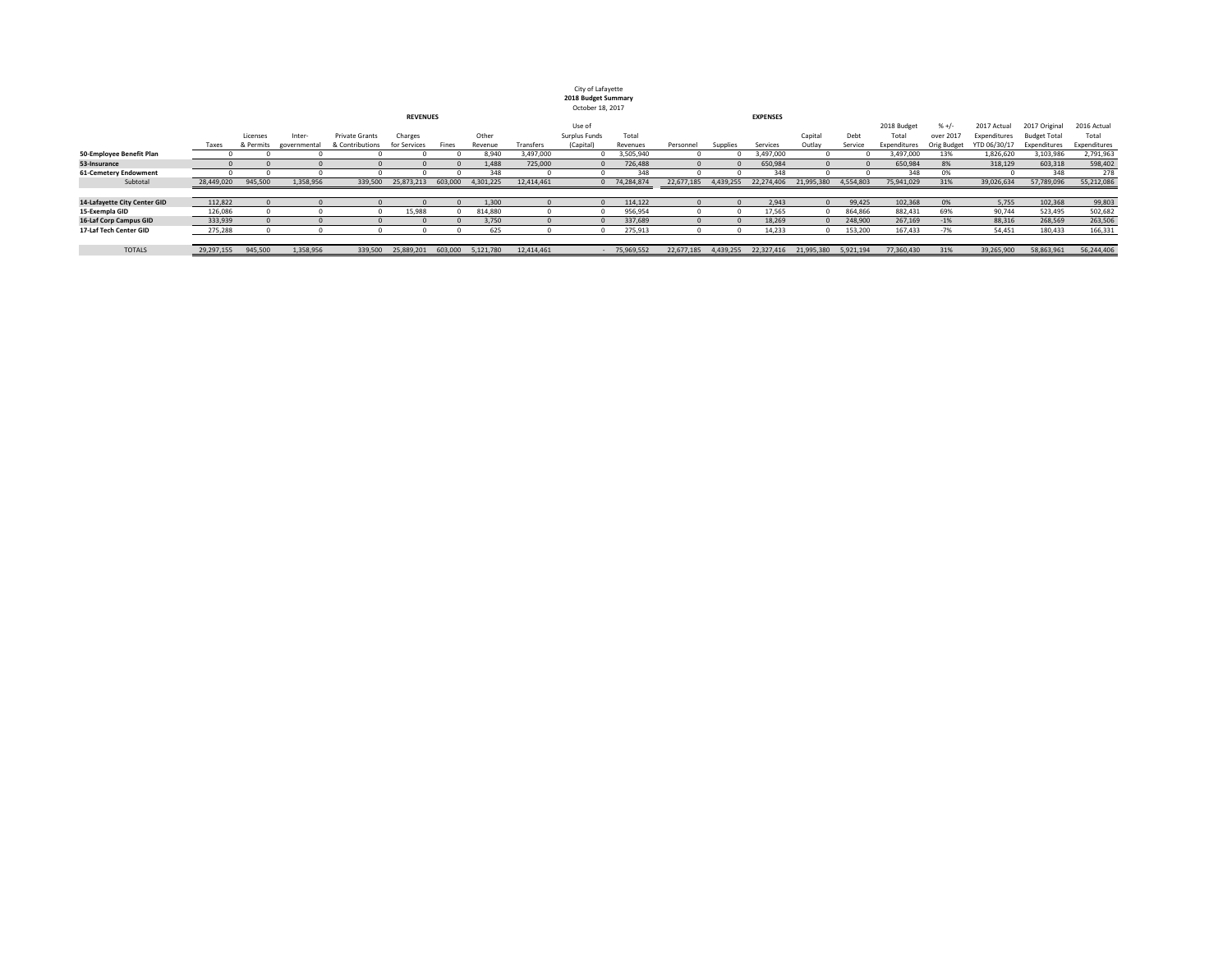| City of Lafayette   |
|---------------------|
| 2018 Budget Summary |
| October 18, 2017    |

|                               | <b>REVENUES</b> |           |              |                 |              |         |           |            | <b>EXPENSES</b> |            |            |           |            |            |           |              |             |              |                     |              |
|-------------------------------|-----------------|-----------|--------------|-----------------|--------------|---------|-----------|------------|-----------------|------------|------------|-----------|------------|------------|-----------|--------------|-------------|--------------|---------------------|--------------|
|                               |                 |           |              |                 |              |         |           |            | Use of          |            |            |           |            |            |           | 2018 Budget  | $% +/-$     | 2017 Actual  | 2017 Original       | 2016 Actual  |
|                               |                 | Licenses  | Inter-       | Private Grants  | Charges      |         | Other     |            | Surplus Funds   | Total      |            |           |            | Capital    | Debt      | Total        | over 2017   | Expenditures | <b>Budget Total</b> | Total        |
|                               | Taxes           | & Permits | governmental | & Contributions | for Services | Fines   | Revenue   | Transfers  | (Capital        | Revenues   | Personnel  | Supplies  | Services   | Outlay     | Service   | Expenditures | Orig Budget | YTD 06/30/17 | Expenditures        | Expenditures |
| 50-Employee Benefit Plan      |                 |           |              |                 |              |         | 8.940     | 3,497,000  |                 | 3,505,940  |            |           | 3,497,000  |            |           | 3,497,000    | 13%         | 1,826,620    | 3,103,986           | 2,791,963    |
| 53-Insurance                  |                 |           |              |                 |              |         | 1,488     | 725,000    |                 | 726,488    |            |           | 650,984    |            |           | 650,984      | 8%          | 318,129      | 603,318             | 598,402      |
| <b>61-Cemetery Endowment</b>  |                 |           |              |                 |              |         | 348       |            |                 |            |            |           | 348        |            |           | 348          | 0%          |              | 348                 | 278          |
| Subtotal                      | 28,449,020      | 945,500   | 1,358,956    | 339,500         | 25,873,213   | 603,000 | 4,301,225 | 12,414,461 |                 | 74,284,874 | 22,677,185 | 4,439,255 | 22,274,406 | 21,995,380 | 4,554,803 | 75,941,029   | 31%         | 39,026,634   | 57,789,096          | 55,212,086   |
|                               |                 |           |              |                 |              |         |           |            |                 |            |            |           |            |            |           |              |             |              |                     |              |
| 14-Lafayette City Center GID  | 112,822         |           |              |                 |              |         | 1,300     |            |                 | 114,122    |            |           | 2,943      |            | 99,425    | 102,368      | 0%          | 5,755        | 102,368             | 99,803       |
| 15-Exempla GID                | 126,086         |           |              |                 | 15,988       |         | 814,880   |            |                 | 956,954    |            |           | 17,565     |            | 864,866   | 882,431      | 69%         | 90,744       | 523,495             | 502,682      |
| <b>16-Laf Corp Campus GID</b> | 333,939         |           |              |                 |              |         | 3,750     |            |                 | 337,689    |            |           | 18,269     |            | 248,900   | 267,169      | $-1%$       | 88,316       | 268,569             | 263,506      |
| 17-Laf Tech Center GID        | 275,288         |           |              |                 |              |         | 625       |            |                 | 275,913    |            |           | 14,233     |            | 153,200   | 167,433      | -7%         | 54,451       | 180,433             | 166,331      |
|                               |                 |           |              |                 |              |         |           |            |                 |            |            |           |            |            |           |              |             |              |                     |              |
| <b>TOTALS</b>                 | 29,297,155      | 945,500   | L,358,956    | 339,500         | 25,889,201   | 603,000 | 5,121,780 | 12,414,461 |                 | 75,969,552 | 22,677,185 | 4,439,255 | 22,327,416 | 21.995.380 | 5,921,194 | 77,360,430   | 31%         | 39,265,900   | 58,863,961          | 56,244,406   |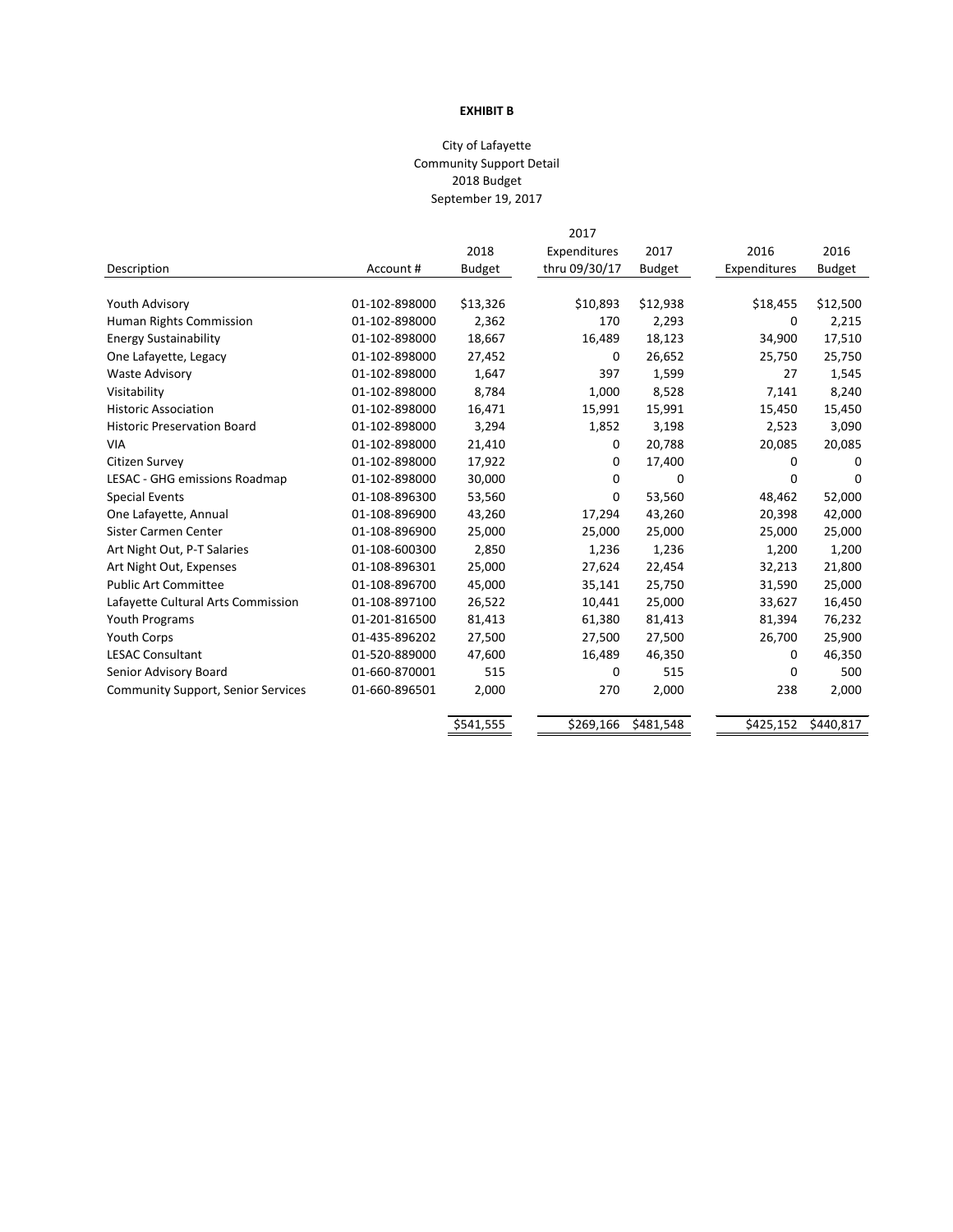# **EXHIBIT B**

# City of Lafayette Community Support Detail 2018 Budget September 19, 2017

|                                           |               |               | 2017          |               |              |               |
|-------------------------------------------|---------------|---------------|---------------|---------------|--------------|---------------|
|                                           |               | 2018          | Expenditures  | 2017          | 2016         | 2016          |
| Description                               | Account#      | <b>Budget</b> | thru 09/30/17 | <b>Budget</b> | Expenditures | <b>Budget</b> |
|                                           |               |               |               |               |              |               |
| Youth Advisory                            | 01-102-898000 | \$13,326      | \$10,893      | \$12,938      | \$18,455     | \$12,500      |
| Human Rights Commission                   | 01-102-898000 | 2,362         | 170           | 2,293         | 0            | 2,215         |
| <b>Energy Sustainability</b>              | 01-102-898000 | 18,667        | 16,489        | 18,123        | 34,900       | 17,510        |
| One Lafayette, Legacy                     | 01-102-898000 | 27,452        | 0             | 26,652        | 25,750       | 25,750        |
| <b>Waste Advisory</b>                     | 01-102-898000 | 1,647         | 397           | 1,599         | 27           | 1,545         |
| Visitability                              | 01-102-898000 | 8,784         | 1,000         | 8,528         | 7,141        | 8,240         |
| <b>Historic Association</b>               | 01-102-898000 | 16,471        | 15,991        | 15,991        | 15,450       | 15,450        |
| <b>Historic Preservation Board</b>        | 01-102-898000 | 3,294         | 1,852         | 3,198         | 2,523        | 3,090         |
| <b>VIA</b>                                | 01-102-898000 | 21,410        | 0             | 20,788        | 20,085       | 20,085        |
| Citizen Survey                            | 01-102-898000 | 17,922        | 0             | 17,400        | 0            | 0             |
| LESAC - GHG emissions Roadmap             | 01-102-898000 | 30,000        | 0             | 0             | 0            | $\Omega$      |
| <b>Special Events</b>                     | 01-108-896300 | 53,560        | $\Omega$      | 53,560        | 48,462       | 52,000        |
| One Lafayette, Annual                     | 01-108-896900 | 43,260        | 17,294        | 43,260        | 20,398       | 42,000        |
| Sister Carmen Center                      | 01-108-896900 | 25,000        | 25,000        | 25,000        | 25,000       | 25,000        |
| Art Night Out, P-T Salaries               | 01-108-600300 | 2,850         | 1,236         | 1,236         | 1,200        | 1,200         |
| Art Night Out, Expenses                   | 01-108-896301 | 25,000        | 27,624        | 22,454        | 32,213       | 21,800        |
| <b>Public Art Committee</b>               | 01-108-896700 | 45,000        | 35,141        | 25,750        | 31,590       | 25,000        |
| Lafayette Cultural Arts Commission        | 01-108-897100 | 26,522        | 10,441        | 25,000        | 33,627       | 16,450        |
| Youth Programs                            | 01-201-816500 | 81,413        | 61,380        | 81,413        | 81,394       | 76,232        |
| <b>Youth Corps</b>                        | 01-435-896202 | 27,500        | 27,500        | 27,500        | 26,700       | 25,900        |
| <b>LESAC Consultant</b>                   | 01-520-889000 | 47,600        | 16,489        | 46,350        | 0            | 46,350        |
| Senior Advisory Board                     | 01-660-870001 | 515           | 0             | 515           | 0            | 500           |
| <b>Community Support, Senior Services</b> | 01-660-896501 | 2,000         | 270           | 2,000         | 238          | 2,000         |
|                                           |               |               |               |               |              |               |
|                                           |               | \$541,555     | \$269,166     | \$481,548     | \$425,152    | \$440,817     |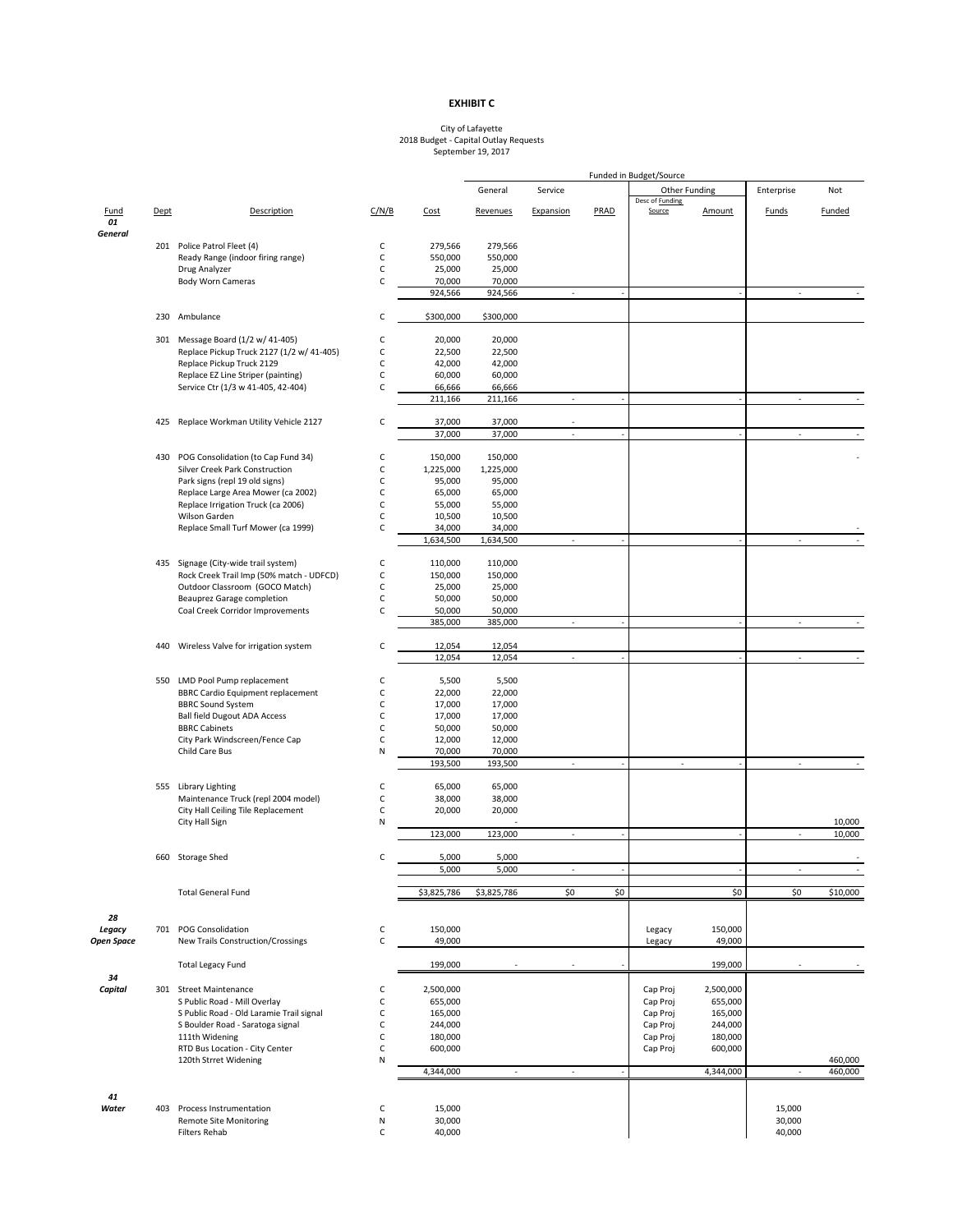|                      |      |                                                                           |              |             |             |                          |                  | Funded in Budget/Source          |                 |                          |               |
|----------------------|------|---------------------------------------------------------------------------|--------------|-------------|-------------|--------------------------|------------------|----------------------------------|-----------------|--------------------------|---------------|
|                      |      |                                                                           |              |             | General     | Service                  |                  | Other Funding                    |                 | Enterprise               | Not           |
| <b>Fund</b>          | Dept | Description                                                               | C/N/B        | Cost        | Revenues    | Expansion                | PRAD             | Desc of <b>Funding</b><br>Source | Amount          | Funds                    | <b>Funded</b> |
| 01<br><b>General</b> |      |                                                                           |              |             |             |                          |                  |                                  |                 |                          |               |
|                      |      | 201 Police Patrol Fleet (4)                                               | C            | 279,566     | 279,566     |                          |                  |                                  |                 |                          |               |
|                      |      | Ready Range (indoor firing range)                                         | C            | 550,000     | 550,000     |                          |                  |                                  |                 |                          |               |
|                      |      | Drug Analyzer                                                             | C            | 25,000      | 25,000      |                          |                  |                                  |                 |                          |               |
|                      |      | <b>Body Worn Cameras</b>                                                  | $\mathsf C$  | 70,000      | 70,000      |                          |                  |                                  |                 |                          |               |
|                      |      |                                                                           |              | 924,566     | 924,566     |                          |                  |                                  |                 |                          |               |
|                      |      | 230 Ambulance                                                             | C            | \$300,000   | \$300,000   |                          |                  |                                  |                 |                          |               |
|                      |      | 301 Message Board (1/2 w/ 41-405)                                         | C            | 20,000      | 20,000      |                          |                  |                                  |                 |                          |               |
|                      |      | Replace Pickup Truck 2127 (1/2 w/ 41-405)                                 | C            | 22,500      | 22,500      |                          |                  |                                  |                 |                          |               |
|                      |      | Replace Pickup Truck 2129                                                 | $\mathsf C$  | 42,000      | 42,000      |                          |                  |                                  |                 |                          |               |
|                      |      | Replace EZ Line Striper (painting)                                        | $\mathsf C$  | 60,000      | 60,000      |                          |                  |                                  |                 |                          |               |
|                      |      | Service Ctr (1/3 w 41-405, 42-404)                                        | $\mathsf C$  | 66,666      | 66,666      |                          |                  |                                  |                 |                          |               |
|                      |      |                                                                           |              | 211,166     | 211,166     | $\blacksquare$           |                  |                                  |                 | $\blacksquare$           |               |
|                      |      | 425 Replace Workman Utility Vehicle 2127                                  | $\mathsf C$  | 37,000      | 37,000      | $\overline{\phantom{a}}$ |                  |                                  |                 |                          |               |
|                      |      |                                                                           |              | 37,000      | 37,000      | $\blacksquare$           |                  |                                  | $\blacksquare$  | $\overline{\phantom{a}}$ |               |
|                      |      |                                                                           |              |             |             |                          |                  |                                  |                 |                          |               |
|                      |      | 430 POG Consolidation (to Cap Fund 34)                                    | C            | 150,000     | 150,000     |                          |                  |                                  |                 |                          |               |
|                      |      | <b>Silver Creek Park Construction</b>                                     | $\mathsf C$  | 1,225,000   | 1,225,000   |                          |                  |                                  |                 |                          |               |
|                      |      | Park signs (repl 19 old signs)                                            | $\mathsf C$  | 95,000      | 95,000      |                          |                  |                                  |                 |                          |               |
|                      |      | Replace Large Area Mower (ca 2002)                                        | $\mathsf C$  | 65,000      | 65,000      |                          |                  |                                  |                 |                          |               |
|                      |      | Replace Irrigation Truck (ca 2006)                                        | $\mathsf{C}$ | 55,000      | 55,000      |                          |                  |                                  |                 |                          |               |
|                      |      | Wilson Garden                                                             | C            | 10,500      | 10,500      |                          |                  |                                  |                 |                          |               |
|                      |      | Replace Small Turf Mower (ca 1999)                                        | $\mathsf{C}$ | 34,000      | 34,000      |                          |                  |                                  |                 |                          |               |
|                      |      |                                                                           |              | 1,634,500   | 1,634,500   | $\overline{\phantom{a}}$ |                  |                                  |                 | $\overline{\phantom{a}}$ |               |
|                      |      | 435 Signage (City-wide trail system)                                      | C            | 110,000     | 110,000     |                          |                  |                                  |                 |                          |               |
|                      |      | Rock Creek Trail Imp (50% match - UDFCD)                                  | $\mathsf C$  | 150,000     | 150,000     |                          |                  |                                  |                 |                          |               |
|                      |      | Outdoor Classroom (GOCO Match)                                            | $\mathsf C$  | 25,000      | 25,000      |                          |                  |                                  |                 |                          |               |
|                      |      | <b>Beauprez Garage completion</b>                                         | C            | 50,000      | 50,000      |                          |                  |                                  |                 |                          |               |
|                      |      | Coal Creek Corridor Improvements                                          | C            | 50,000      | 50,000      |                          |                  |                                  |                 |                          |               |
|                      |      |                                                                           |              | 385,000     | 385,000     | $\blacksquare$           |                  |                                  |                 | $\sim$                   |               |
|                      |      |                                                                           |              |             |             |                          |                  |                                  |                 |                          |               |
|                      |      | 440 Wireless Valve for irrigation system                                  | C            | 12,054      | 12,054      |                          |                  |                                  |                 |                          |               |
|                      |      |                                                                           |              | 12,054      | 12,054      |                          |                  |                                  |                 | $\sim$                   |               |
|                      |      | 550 LMD Pool Pump replacement                                             | C            | 5,500       | 5,500       |                          |                  |                                  |                 |                          |               |
|                      |      | <b>BBRC Cardio Equipment replacement</b>                                  | $\mathsf C$  | 22,000      | 22,000      |                          |                  |                                  |                 |                          |               |
|                      |      | <b>BBRC Sound System</b>                                                  | C            | 17,000      | 17,000      |                          |                  |                                  |                 |                          |               |
|                      |      | <b>Ball field Dugout ADA Access</b>                                       | C            | 17,000      | 17,000      |                          |                  |                                  |                 |                          |               |
|                      |      | <b>BBRC Cabinets</b>                                                      | C            | 50,000      | 50,000      |                          |                  |                                  |                 |                          |               |
|                      |      | City Park Windscreen/Fence Cap                                            | $\mathsf{C}$ | 12,000      | 12,000      |                          |                  |                                  |                 |                          |               |
|                      |      | Child Care Bus                                                            | N            | 70,000      | 70,000      |                          |                  |                                  |                 |                          |               |
|                      |      |                                                                           |              | 193,500     | 193,500     | $\blacksquare$           |                  | $\sim$                           |                 | $\sim$                   |               |
|                      |      |                                                                           |              |             |             |                          |                  |                                  |                 |                          |               |
|                      |      | 555 Library Lighting                                                      | C            | 65,000      | 65,000      |                          |                  |                                  |                 |                          |               |
|                      |      | Maintenance Truck (repl 2004 model)<br>City Hall Ceiling Tile Replacement | C            | 38,000      | 38,000      |                          |                  |                                  |                 |                          |               |
|                      |      | City Hall Sign                                                            | C<br>N       | 20,000      | 20,000      |                          |                  |                                  |                 |                          | 10,000        |
|                      |      |                                                                           |              | 123,000     | 123,000     | $\sim$                   |                  |                                  |                 | $\overline{\phantom{a}}$ | 10,000        |
|                      |      |                                                                           |              |             |             |                          |                  |                                  |                 |                          |               |
|                      |      | 660 Storage Shed                                                          | C            | 5,000       | 5,000       |                          |                  |                                  |                 |                          |               |
|                      |      |                                                                           |              | 5,000       | 5,000       | $\overline{\phantom{a}}$ |                  |                                  |                 | $\blacksquare$           |               |
|                      |      | <b>Total General Fund</b>                                                 |              | \$3,825,786 | \$3,825,786 | \$0                      | $\overline{\xi}$ |                                  | $\overline{50}$ | $\overline{50}$          | \$10,000      |
| 28                   |      |                                                                           |              |             |             |                          |                  |                                  |                 |                          |               |
| Legacy               |      | 701 POG Consolidation                                                     | C            | 150,000     |             |                          |                  | Legacy                           | 150,000         |                          |               |

| <b>Open Space</b> |     | New Trails Construction/Crossings        |        | 49,000    | Legacy   | 49,000    |        |         |
|-------------------|-----|------------------------------------------|--------|-----------|----------|-----------|--------|---------|
|                   |     | <b>Total Legacy Fund</b>                 |        | 199,000   |          | 199,000   |        |         |
| 34                |     |                                          |        |           |          |           |        |         |
| Capital           | 301 | <b>Street Maintenance</b>                | U      | 2,500,000 | Cap Proj | 2,500,000 |        |         |
|                   |     | S Public Road - Mill Overlay             |        | 655,000   | Cap Proj | 655,000   |        |         |
|                   |     | S Public Road - Old Laramie Trail signal |        | 165,000   | Cap Proj | 165,000   |        |         |
|                   |     | S Boulder Road - Saratoga signal         |        | 244,000   | Cap Proj | 244,000   |        |         |
|                   |     | 111th Widening                           |        | 180,000   | Cap Proj | 180,000   |        |         |
|                   |     | RTD Bus Location - City Center           | U      | 600,000   | Cap Proj | 600,000   |        |         |
|                   |     | 120th Strret Widening                    | N      |           |          |           |        | 460,000 |
|                   |     |                                          |        | 4,344,000 |          | 4,344,000 |        | 460,000 |
| 41                |     |                                          |        |           |          |           |        |         |
| Water             | 403 | Process Instrumentation                  | $\sim$ | 15,000    |          |           | 15,000 |         |
|                   |     | Remote Site Monitoring                   | N      | 30,000    |          |           | 30,000 |         |
|                   |     | Filters Rehab                            |        | 40,000    |          |           | 40,000 |         |

#### **EXHIBIT C**

#### City of Lafayette 2018 Budget - Capital Outlay Requests September 19, 2017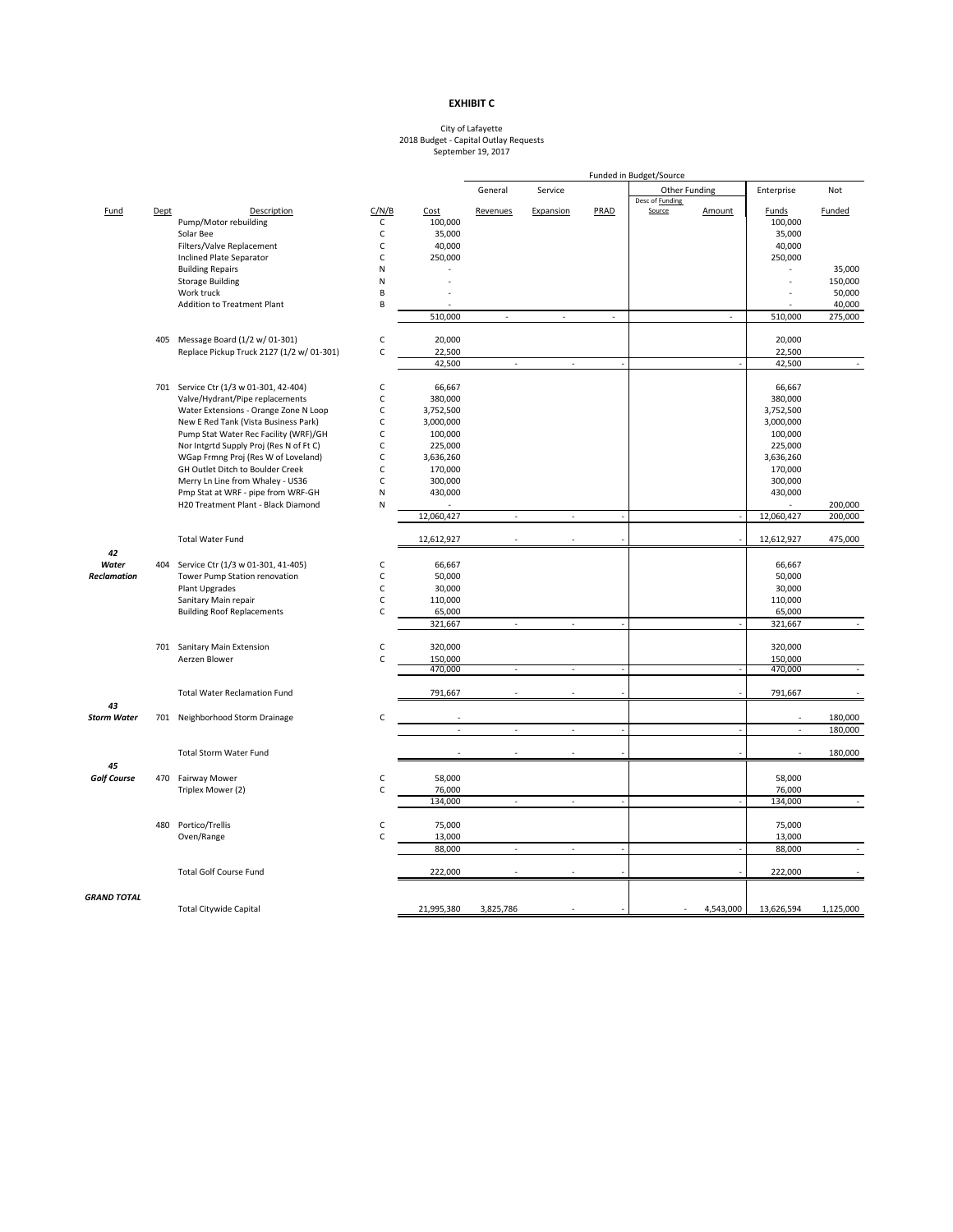## **EXHIBIT C**

#### City of Lafayette 2018 Budget - Capital Outlay Requests September 19, 2017

|                    |      |                                                                           |              |            | Funded in Budget/Source  |                          |        |                          |           |                          |                    |
|--------------------|------|---------------------------------------------------------------------------|--------------|------------|--------------------------|--------------------------|--------|--------------------------|-----------|--------------------------|--------------------|
|                    |      |                                                                           |              |            | General                  | Service                  |        | Other Funding            |           | Enterprise               | Not                |
|                    |      |                                                                           |              |            |                          |                          |        | Desc of <b>Funding</b>   |           |                          |                    |
| <b>Fund</b>        | Dept | Description                                                               | C/N/B        | Cost       | Revenues                 | Expansion                | PRAD   | Source                   | Amount    | Funds                    | <b>Funded</b>      |
|                    |      | Pump/Motor rebuilding                                                     | C            | 100,000    |                          |                          |        |                          |           | 100,000                  |                    |
|                    |      | Solar Bee                                                                 | C            | 35,000     |                          |                          |        |                          |           | 35,000                   |                    |
|                    |      | Filters/Valve Replacement                                                 | С            | 40,000     |                          |                          |        |                          |           | 40,000                   |                    |
|                    |      | <b>Inclined Plate Separator</b>                                           | C            | 250,000    |                          |                          |        |                          |           | 250,000                  |                    |
|                    |      | <b>Building Repairs</b>                                                   | N            |            |                          |                          |        |                          |           | $\blacksquare$           | 35,000             |
|                    |      | <b>Storage Building</b>                                                   | N            |            |                          |                          |        |                          |           |                          | 150,000            |
|                    |      | Work truck                                                                | В            |            |                          |                          |        |                          |           |                          | 50,000             |
|                    |      | <b>Addition to Treatment Plant</b>                                        | B            |            |                          |                          |        |                          |           |                          | 40,000             |
|                    |      |                                                                           |              | 510,000    | $\sim$                   | $\sim$                   | $\sim$ |                          |           | 510,000                  | 275,000            |
|                    |      |                                                                           |              |            |                          |                          |        |                          |           |                          |                    |
|                    |      | 405 Message Board (1/2 w/ 01-301)                                         | C            | 20,000     |                          |                          |        |                          |           | 20,000                   |                    |
|                    |      | Replace Pickup Truck 2127 (1/2 w/ 01-301)                                 | C            | 22,500     |                          |                          |        |                          |           | 22,500                   |                    |
|                    |      |                                                                           |              | 42,500     | $\blacksquare$           | $\overline{\phantom{a}}$ |        |                          |           | 42,500                   |                    |
|                    |      | 701 Service Ctr (1/3 w 01-301, 42-404)                                    | C            | 66,667     |                          |                          |        |                          |           | 66,667                   |                    |
|                    |      | Valve/Hydrant/Pipe replacements                                           | С            | 380,000    |                          |                          |        |                          |           | 380,000                  |                    |
|                    |      | Water Extensions - Orange Zone N Loop                                     |              | 3,752,500  |                          |                          |        |                          |           | 3,752,500                |                    |
|                    |      | New E Red Tank (Vista Business Park)                                      | C            | 3,000,000  |                          |                          |        |                          |           | 3,000,000                |                    |
|                    |      | Pump Stat Water Rec Facility (WRF)/GH                                     | C            | 100,000    |                          |                          |        |                          |           | 100,000                  |                    |
|                    |      | Nor Intgrtd Supply Proj (Res N of Ft C)                                   |              | 225,000    |                          |                          |        |                          |           | 225,000                  |                    |
|                    |      | WGap Frmng Proj (Res W of Loveland)                                       | С            | 3,636,260  |                          |                          |        |                          |           | 3,636,260                |                    |
|                    |      | GH Outlet Ditch to Boulder Creek                                          | C            | 170,000    |                          |                          |        |                          |           |                          |                    |
|                    |      | Merry Ln Line from Whaley - US36                                          | C            | 300,000    |                          |                          |        |                          |           | 170,000<br>300,000       |                    |
|                    |      |                                                                           |              |            |                          |                          |        |                          |           |                          |                    |
|                    |      | Pmp Stat at WRF - pipe from WRF-GH<br>H20 Treatment Plant - Black Diamond | N            | 430,000    |                          |                          |        |                          |           | 430,000<br>$\sim$        |                    |
|                    |      |                                                                           | N            | 12,060,427 | $\blacksquare$           | $\sim$                   |        |                          |           | 12,060,427               | 200,000<br>200,000 |
|                    |      |                                                                           |              |            |                          |                          |        |                          |           |                          |                    |
|                    |      | <b>Total Water Fund</b>                                                   |              | 12,612,927 | $\overline{\phantom{a}}$ |                          |        |                          |           | 12,612,927               | 475,000            |
| 42                 |      |                                                                           |              |            |                          |                          |        |                          |           |                          |                    |
| Water              |      | 404 Service Ctr (1/3 w 01-301, 41-405)                                    | C            | 66,667     |                          |                          |        |                          |           | 66,667                   |                    |
| <b>Reclamation</b> |      | Tower Pump Station renovation                                             | C            | 50,000     |                          |                          |        |                          |           | 50,000                   |                    |
|                    |      | Plant Upgrades                                                            | C            | 30,000     |                          |                          |        |                          |           | 30,000                   |                    |
|                    |      | Sanitary Main repair                                                      | C            | 110,000    |                          |                          |        |                          |           | 110,000                  |                    |
|                    |      | <b>Building Roof Replacements</b>                                         | $\mathsf{C}$ | 65,000     |                          |                          |        |                          |           | 65,000                   |                    |
|                    |      |                                                                           |              | 321,667    | $\mathbf{r}$             | $\sim$                   |        |                          |           | 321,667                  |                    |
|                    |      |                                                                           |              |            |                          |                          |        |                          |           |                          |                    |
|                    |      | 701 Sanitary Main Extension                                               | C            | 320,000    |                          |                          |        |                          |           | 320,000                  |                    |
|                    |      | Aerzen Blower                                                             | $\mathsf C$  | 150,000    |                          |                          |        |                          |           | 150,000                  |                    |
|                    |      |                                                                           |              | 470,000    | $\overline{\phantom{a}}$ | $\blacksquare$           |        |                          |           | 470,000                  | $\sim$             |
|                    |      | <b>Total Water Reclamation Fund</b>                                       |              | 791,667    |                          |                          |        |                          |           | 791,667                  |                    |
| 43                 |      |                                                                           |              |            |                          |                          |        |                          |           |                          |                    |
| <b>Storm Water</b> |      | 701 Neighborhood Storm Drainage                                           | $\mathsf C$  |            |                          |                          |        |                          |           | $\overline{\phantom{a}}$ | 180,000            |
|                    |      |                                                                           |              |            | $\overline{\phantom{a}}$ |                          |        |                          |           | $\sim$                   | 180,000            |
|                    |      |                                                                           |              |            |                          |                          |        |                          |           |                          |                    |
|                    |      | <b>Total Storm Water Fund</b>                                             |              |            | $\blacksquare$           |                          |        |                          |           | $\sim$                   | 180,000            |
| 45                 |      |                                                                           |              |            |                          |                          |        |                          |           |                          |                    |
| <b>Golf Course</b> | 470  | <b>Fairway Mower</b>                                                      | $\mathsf C$  | 58,000     |                          |                          |        |                          |           | 58,000                   |                    |
|                    |      | Triplex Mower (2)                                                         | $\mathsf C$  | 76,000     |                          |                          |        |                          |           | 76,000                   |                    |
|                    |      |                                                                           |              | 134,000    | $\sim$                   | $\overline{\phantom{a}}$ |        |                          |           | 134,000                  | $\sim$             |
|                    |      |                                                                           |              |            |                          |                          |        |                          |           |                          |                    |
|                    | 480  | Portico/Trellis                                                           | С            | 75,000     |                          |                          |        |                          |           | 75,000                   |                    |
|                    |      | Oven/Range                                                                | $\mathsf C$  | 13,000     |                          |                          |        |                          |           | 13,000                   |                    |
|                    |      |                                                                           |              | 88,000     | $\blacksquare$           | $\sim$                   |        |                          |           | 88,000                   |                    |
|                    |      |                                                                           |              |            |                          |                          |        |                          |           |                          |                    |
|                    |      | <b>Total Golf Course Fund</b>                                             |              | 222,000    |                          |                          |        |                          |           | 222,000                  |                    |
| <b>GRAND TOTAL</b> |      |                                                                           |              |            |                          |                          |        |                          |           |                          |                    |
|                    |      | <b>Total Citywide Capital</b>                                             |              | 21,995,380 | 3,825,786                |                          |        | $\overline{\phantom{a}}$ | 4,543,000 | 13,626,594               | 1,125,000          |
|                    |      |                                                                           |              |            |                          |                          |        |                          |           |                          |                    |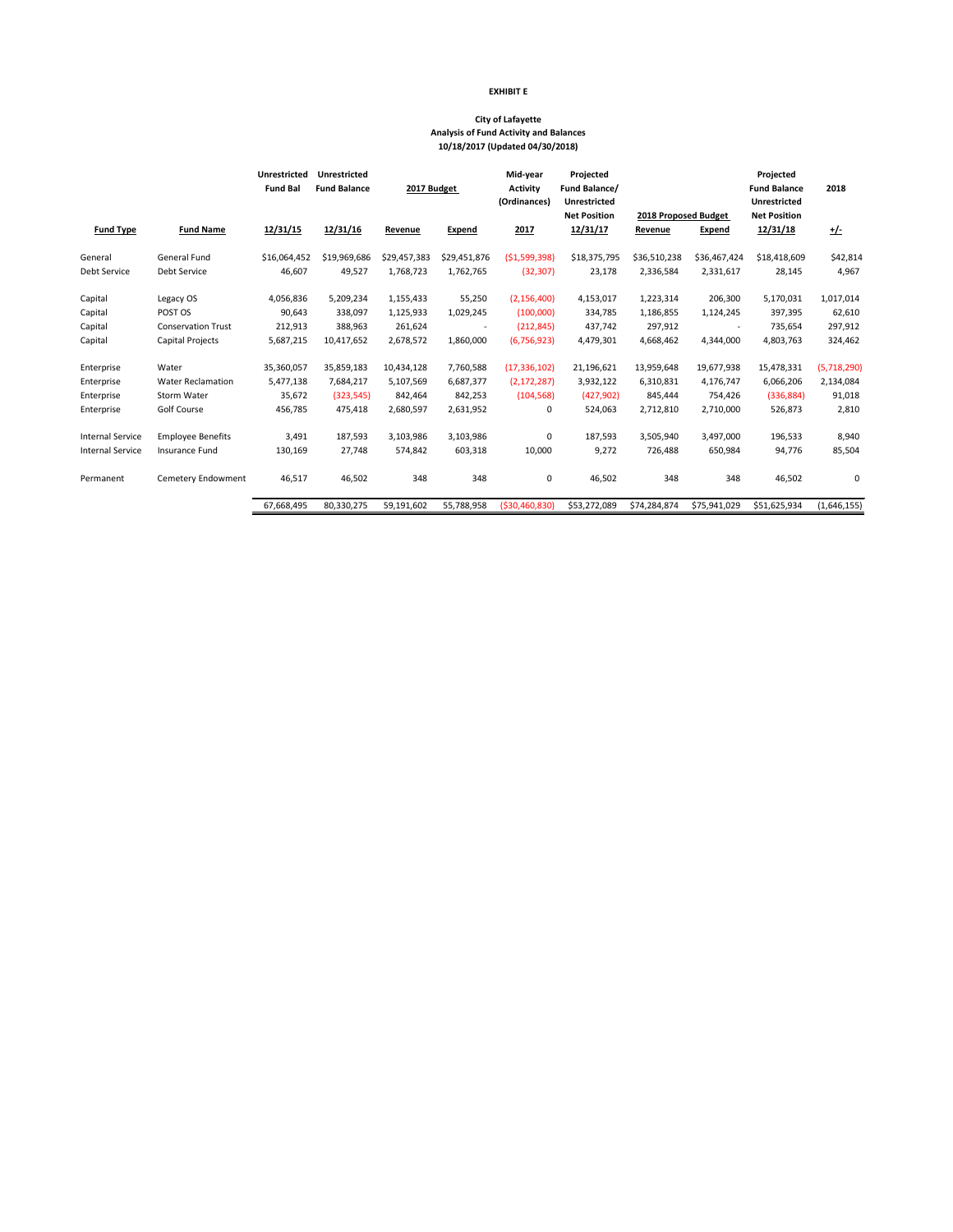|                         |                           | <b>Unrestricted</b><br><b>Fund Bal</b> | <b>Unrestricted</b><br><b>Fund Balance</b> | 2017 Budget    |                          | Mid-year<br><b>Activity</b><br>(Ordinances) | Projected<br>Fund Balance/<br><b>Unrestricted</b> |                      |               | Projected<br><b>Fund Balance</b><br><b>Unrestricted</b> | 2018        |
|-------------------------|---------------------------|----------------------------------------|--------------------------------------------|----------------|--------------------------|---------------------------------------------|---------------------------------------------------|----------------------|---------------|---------------------------------------------------------|-------------|
|                         |                           |                                        |                                            |                |                          |                                             | <b>Net Position</b>                               | 2018 Proposed Budget |               | <b>Net Position</b>                                     |             |
| <b>Fund Type</b>        | <b>Fund Name</b>          | 12/31/15                               | 12/31/16                                   | <u>Revenue</u> | <u>Expend</u>            | 2017                                        | 12/31/17                                          | Revenue              | <b>Expend</b> | 12/31/18                                                | <u>+/-</u>  |
| General                 | General Fund              | \$16,064,452                           | \$19,969,686                               | \$29,457,383   | \$29,451,876             | (51,599,398)                                | \$18,375,795                                      | \$36,510,238         | \$36,467,424  | \$18,418,609                                            | \$42,814    |
| Debt Service            | Debt Service              | 46,607                                 | 49,527                                     | 1,768,723      | 1,762,765                | (32, 307)                                   | 23,178                                            | 2,336,584            | 2,331,617     | 28,145                                                  | 4,967       |
| Capital                 | Legacy OS                 | 4,056,836                              | 5,209,234                                  | 1,155,433      | 55,250                   | (2, 156, 400)                               | 4,153,017                                         | 1,223,314            | 206,300       | 5,170,031                                               | 1,017,014   |
| Capital                 | POST OS                   | 90,643                                 | 338,097                                    | 1,125,933      | 1,029,245                | (100,000)                                   | 334,785                                           | 1,186,855            | 1,124,245     | 397,395                                                 | 62,610      |
| Capital                 | <b>Conservation Trust</b> | 212,913                                | 388,963                                    | 261,624        | $\overline{\phantom{a}}$ | (212, 845)                                  | 437,742                                           | 297,912              |               | 735,654                                                 | 297,912     |
| Capital                 | Capital Projects          | 5,687,215                              | 10,417,652                                 | 2,678,572      | 1,860,000                | (6, 756, 923)                               | 4,479,301                                         | 4,668,462            | 4,344,000     | 4,803,763                                               | 324,462     |
| Enterprise              | Water                     | 35,360,057                             | 35,859,183                                 | 10,434,128     | 7,760,588                | (17, 336, 102)                              | 21,196,621                                        | 13,959,648           | 19,677,938    | 15,478,331                                              | (5,718,290) |
| Enterprise              | <b>Water Reclamation</b>  | 5,477,138                              | 7,684,217                                  | 5,107,569      | 6,687,377                | (2, 172, 287)                               | 3,932,122                                         | 6,310,831            | 4,176,747     | 6,066,206                                               | 2,134,084   |
| Enterprise              | Storm Water               | 35,672                                 | (323, 545)                                 | 842,464        | 842,253                  | (104, 568)                                  | (427, 902)                                        | 845,444              | 754,426       | (336, 884)                                              | 91,018      |
| Enterprise              | Golf Course               | 456,785                                | 475,418                                    | 2,680,597      | 2,631,952                | 0                                           | 524,063                                           | 2,712,810            | 2,710,000     | 526,873                                                 | 2,810       |
| <b>Internal Service</b> | <b>Employee Benefits</b>  | 3,491                                  | 187,593                                    | 3,103,986      | 3,103,986                | 0                                           | 187,593                                           | 3,505,940            | 3,497,000     | 196,533                                                 | 8,940       |
| <b>Internal Service</b> | Insurance Fund            | 130,169                                | 27,748                                     | 574,842        | 603,318                  | 10,000                                      | 9,272                                             | 726,488              | 650,984       | 94,776                                                  | 85,504      |
| Permanent               | <b>Cemetery Endowment</b> | 46,517                                 | 46,502                                     | 348            | 348                      | 0                                           | 46,502                                            | 348                  | 348           | 46,502                                                  | 0           |
|                         |                           | 67,668,495                             | 80,330,275                                 | 59,191,602     | 55,788,958               | (\$30,460,830)                              | \$53,272,089                                      | \$74,284,874         | \$75,941,029  | \$51,625,934                                            | (1,646,155) |

## **EXHIBIT E**

# **City of Lafayette Analysis of Fund Activity and Balances 10/18/2017 (Updated 04/30/2018)**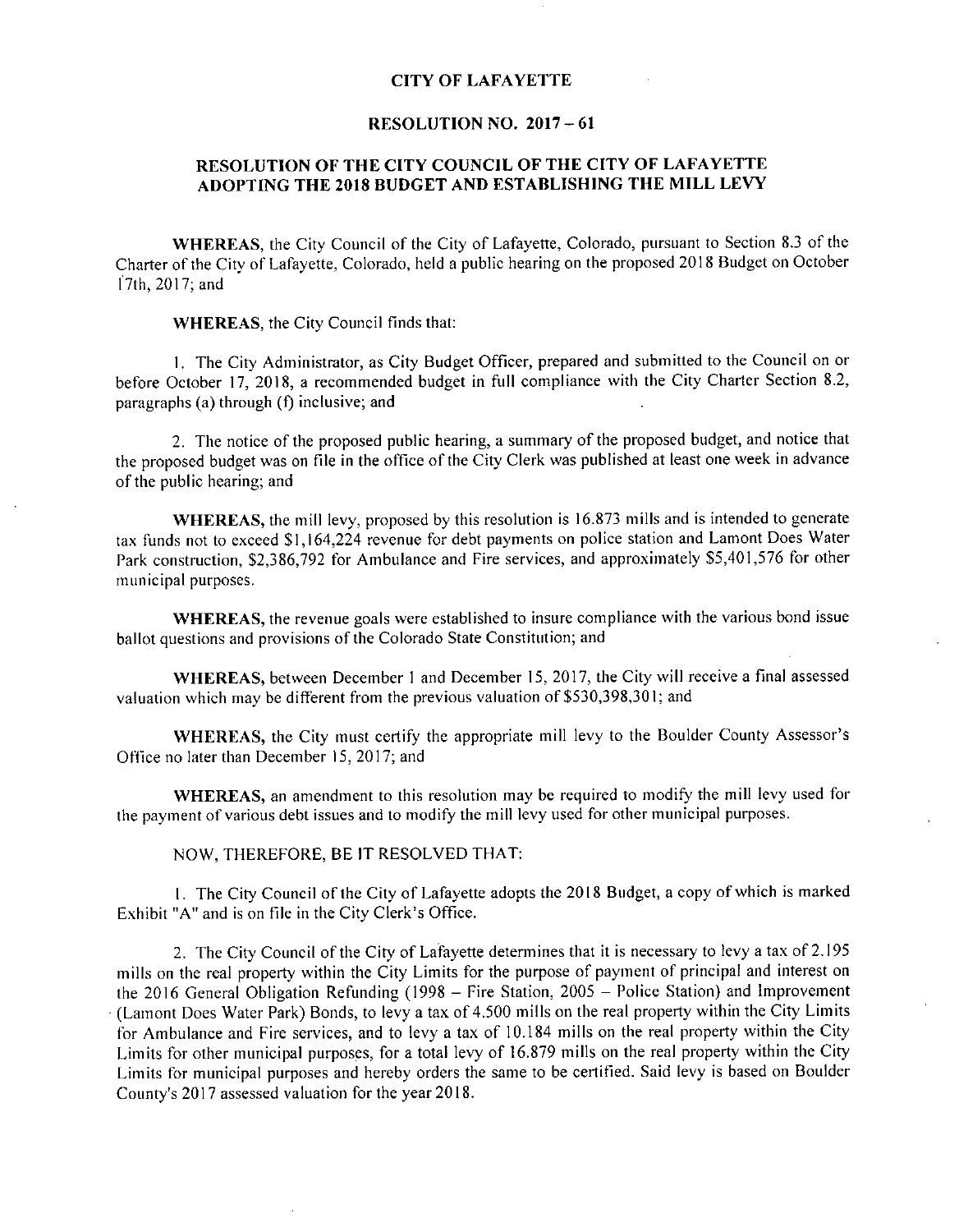#### CITY OF LAFAYETTE

#### RESOLUTION NO. 2017 - 61

### RESOLUTION OF THE CITY COUNCIL OF THE CITY OF LAFAYETTE ADOPTING THE <sup>2018</sup> BUDGET AND ESTABLISHING THE MILL LEVY

WHEREAS, the City Council of the City of Lafayette, Colorado, pursuant to Section 8.3 of the Charter of the City of Lafayette, Colorado, held <sup>a</sup> public hearing on the proposed <sup>2018</sup> Budget on October 17th, 2017; and

WHEREAS, the City Council finds that:

1. The City Administrator, as City Budget Officer, prepared and submitted to the Council on or before October 17, 2018, <sup>a</sup> recommended budget in full compliance with the City Charter Section 8.2, paragraphs (a) through  $(f)$  inclusive; and

2. The notice of the proposed public hearing, <sup>a</sup> summary of the proposed budget, and notice that the proposed budget was on file in the office of the City Clerk was published at least one week in advance of the public hearing; and

WHEREAS, the mill levy, proposed by this resolution is 16.873 mills and is intended to generate WHEREAS, the mill levy, proposed by this resolution is 16.873 mills and is intended to generate<br>tax funds not to exceed \$1,164,224 revenue for debt payments on police station and Lamont Does Water<br>Real construction \$2,286, WHEREAS, the mill levy, proposed by this resolution is 16.873 mills and is intended to generate<br>tax funds not to exceed \$1,164,224 revenue for debt payments on police station and Lamont Does Wate<br>Park construction, \$2,386, municipal purposes.

WHEREAS, the revenue goals were established to insure compliance with the various bond issue ballot questions and provisions of the Colorado State Constitution; and

WHEREAS, between December <sup>1</sup> and December 15, 2017, the City will receive <sup>a</sup> final assessed valuation which may be different from the previous valuation of  $$530,398,301$ ; and

WHEREAS, the City must certify the appropriate mill levy to the Boulder County Assessor's Office no later than December 15, 2017; and

WHEREAS, an amendment to this resolution may be required to modify the mill levy used for the payment of various debt issues and to modify the mill levy used for other municipal purposes.

NOW, THEREFORE, BE IT RESOLVED THAT:

1. The City Council of the City of Lafayette adopts the 2018 Budget, a copy of which is marke Exhibit "A" and is on file in the City Clerk's Office.

2. The City Council of the City of Lafayette determines that it is necessary to levy <sup>a</sup> tax of 2.195 mills on the real property within the City Limits for the purpose of payment of principal and interest on the <sup>2016</sup> General Obligation Refunding (1998 - Fire Station, 2005 - Police Station) and Improvement Lamont Does Water Park) Bonds, to levy <sup>a</sup> tax of 4.500 mills on the real property within the City Limits for Ambulance and Fire services, and to levy <sup>a</sup> tax of 10.184 mills on the real property within the City Limits for other municipal purposes, for <sup>a</sup> total levy of 16.879 mills on the real property within the City Limits for other indifferent purposes, for a total levy or 10.075 mins on the real property which the oxide Limits for municipal purposes and hereby orders the same to be certified. Said levy is based on Boulde County's 20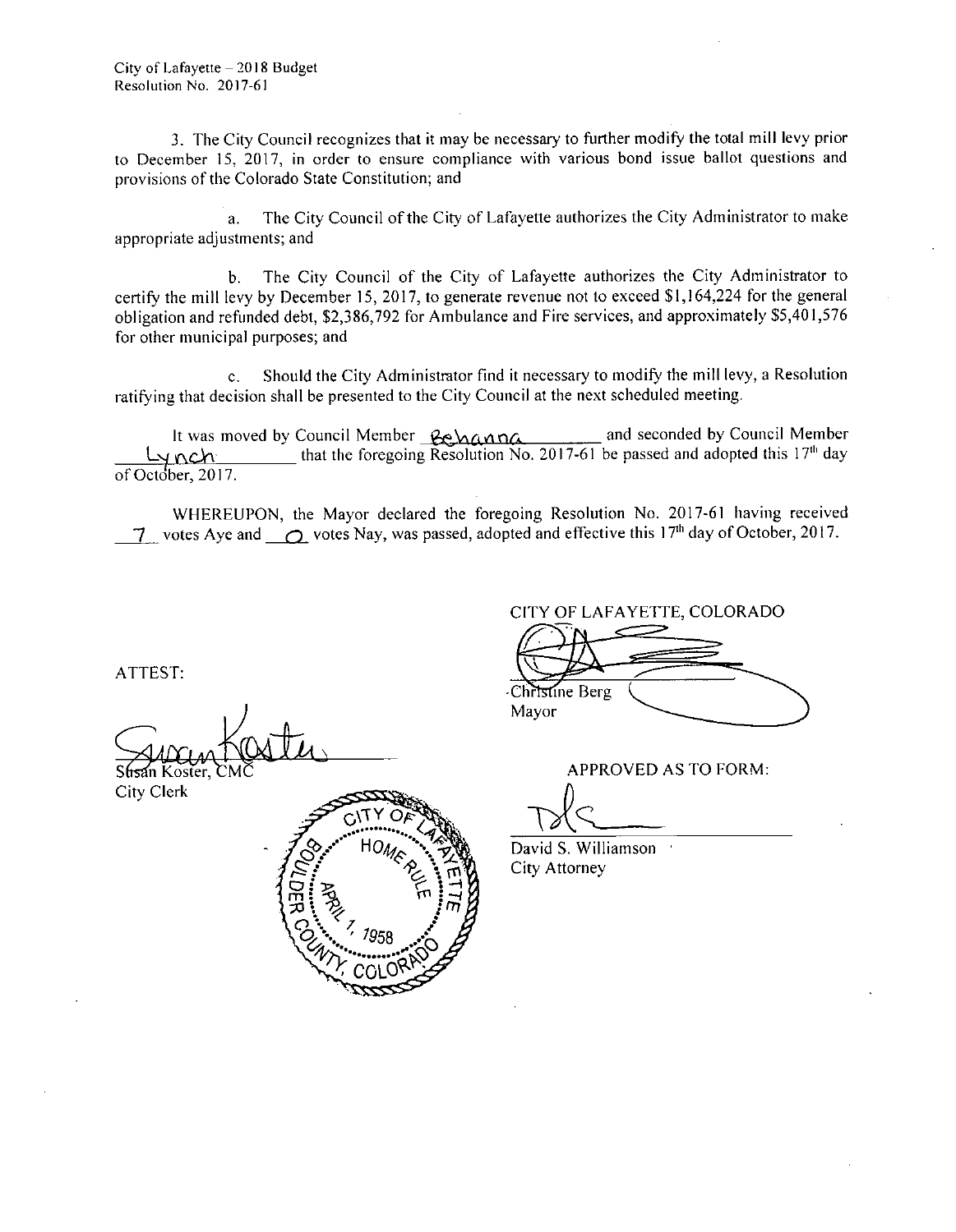3. The City Council recognizes that it may be necessary to further modify the total mill levy prior to December 15, 2017, in order to ensure compliance with various bond issue ballot questions and provisions of the Colorado State Constitution; and

a. The City Council of the City of Lafayette authorizes the City Administrator to make appropriate adjustments; and

b. The City Council of the City of Lafayette authorizes the City Administrator to b. The City Council of the City of Lafayette authorizes the City Administrator to excertify the mill levy by December 15, 2017, to generate revenue not to exceed \$1,164,224 for the general politication and refunded dabt. \$ b. The City Council of the City of Lafayette authorizes the City Administrator to certify the mill levy by December 15, 2017, to generate revenue not to exceed \$1,164,224 for the general obligation and refunded debt, \$2,38 for other municipal purposes; and

c. Should the City Administrator find it necessary to modify the mill levy, <sup>a</sup> Resolution ratifying that decision shall be presented to the City Council at the next scheduled meeting.

It was moved by Council Member  $\frac{R_{\text{C}}}{R_{\text{C}}}\text{A}$  and seconded by Council Member Ly nch that the foregoing Resolution No. 2017-61 be passed and adopted this 17<sup>th</sup> day of October, 2017.

WHEREUPON, the Mayor declared the foregoing Resolution No. 2017-61 having received  $\frac{1}{2}$  votes Aye and  $\frac{1}{2}$  votes Nay, was passed, adopted and effective this 17<sup>th</sup> day of October, 2017.

ATTEST:

City Clerk



CITY OF LAFAYETTE, COLORADO

Christine Berg Mayor

APPROVED AS TO FORM:

David S. Williamson City Attorney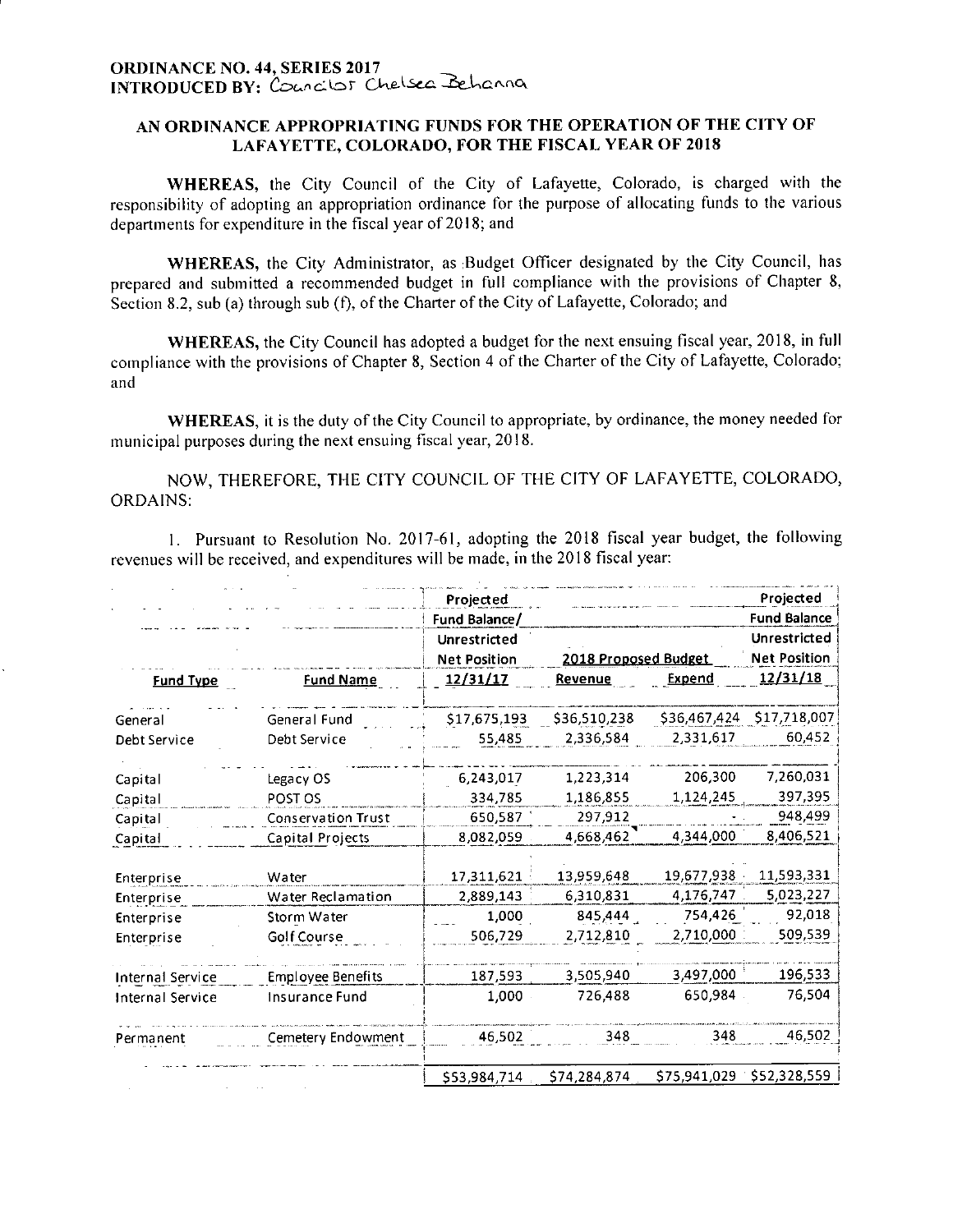#### AN ORDINANCE APPROPRIATING FUNDS FOR THE OPERATION OF THE CITY OF LAFAYETTE, COLORADO, FOR THE FISCAL YEAR OF <sup>2018</sup>

WHEREAS, the City Council of the City of Lafayette, Colorado, is charged with the responsibility of adopting an appropriation ordinance for the purpose of allocating funds to the various departments for expenditure in the fiscal year of 2018; and

WHEREAS, the City Administrator, as Budget Officer designated by the City Council, has prepared and submitted <sup>a</sup> recommended budget in full compliance with the provisions of Chapter 8, WHEREAS, the City Administrator, as Budget Officer designated by the C<br>prepared and submitted a recommended budget in full compliance with the provisio<br>Section 8.2, sub (a) through sub (f), of the Charter of the City of La

WHEREAS, the City Council has adopted <sup>a</sup> budget for the next ensuing fiscal year, 2018, in full compliance with the provisions of Chapter 8, Section <sup>4</sup> of the Charter of the City of Lafayette, Colorado; and

WHEREAS, it is the duty of the City Council to appropriate, by ordinance, the money needed for municipal purposes during the next ensuing fiscal year, 2018.

NOW, THEREFORE, THE CITY COUNCIL OF THE CITY OF LAFAYETTE, COLORADO, ORDAINS:

1. Pursuant to Resolution No. 2017-61, adopting the <sup>2018</sup> fiscal year budget, the following revenues will be received, and expenditures will be made, in the 2018 fiscal year:

|                  |                          | Projected<br>Fund Balance/          |                      |               | Projected<br><b>Fund Balance</b>    |
|------------------|--------------------------|-------------------------------------|----------------------|---------------|-------------------------------------|
|                  |                          | Unrestricted<br><b>Net Position</b> | 2018 Proposed Budget |               | Unrestricted<br><b>Net Position</b> |
| <b>Fund Type</b> | <b>Fund Name</b>         | <u>12/31/17</u>                     | Revenue              | <b>Expend</b> | 12/31/18                            |
| General          | General Fund             | \$17,675,193                        | \$36,510,238         | \$36,467,424  | \$17,718,007                        |
| Debt Service     | Debt Service             | 55,485                              | 2,336,584            | 2,331,617     | 60,452                              |
| Capital          | Legacy OS                | 6,243,017                           | 1.223.314            | 206,300       | 7,260,031                           |
| Capital          | POST OS                  | 334,785                             | 1,186,855            | 1,124,245     | 397,395                             |
| Capital          | Conservation Trust       | 650,587                             | 297,912              |               | 948,499                             |
| Capital          | Capital Projects         | 8,082,059                           | 4,668,462            | 4,344,000     | 8,406,521                           |
| Enterprise       | Water                    | 17,311,621                          | 13,959,648           | 19,677,938    | 11,593,331                          |
| Enterprise       | Water Reclamation        | 2,889,143                           | 6,310,831            | 4,176,747     | 5,023,227                           |
| Enterprise       | Storm Water              | 1,000                               | 845,444              | 754,426       | 92,018                              |
| Enterprise       | <b>Golf Course</b>       | 506,729                             | 2,712,810            | 2,710,000     | 509,539                             |
| Internal Service | <b>Employee Benefits</b> | 187,593                             | 3,505,940            | 3,497,000     | 196,533                             |
| Internal Service | Insurance Fund           | 1,000                               | 726,488              | 650,984       | 76,504                              |
| Permanent        | Cemetery Endowment       | 46,502                              | 348                  | 348           | 46.502                              |
|                  |                          | \$53,984,714                        | \$74,284,874         | \$75,941,029  | \$52,328,559                        |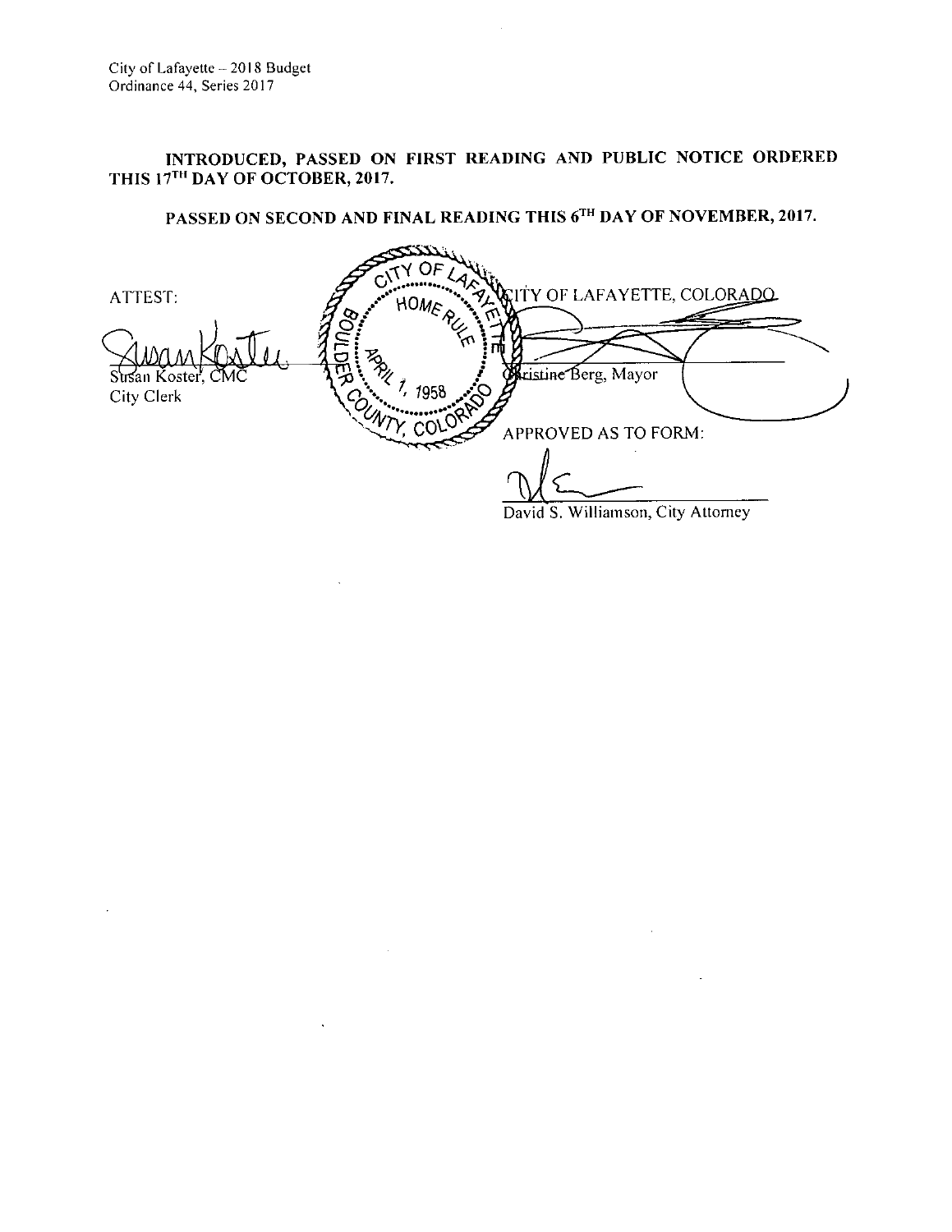# INTRODUCED, PASSED ON FIRST READING AND PUBLIC NOTICE ORDERED THIS 17<sup>TH</sup> DAY OF OCTOBER, 2017.

# PASSED ON SECOND AND FINAL READING THIS 6TH DAY OF NOVEMBER, 2017.

ATTEST:  $\mathcal{F}$   $\mathcal{F}_{\text{HOL}}$   $\mathcal{F}_{\text{HOL}}$  at  $\mathcal{F}_{\text{HOL}}$  and  $\mathcal{F}_{\text{HOL}}$ p  $\overline{\mathbf{z}}$ ristine Berg, Mayor Strsan Koster, CMC A. 2 3, 4 7, 1958 City Clerk Contract Contract Only 1958 APPROVED AS TO FORM:

David S. Williamson, City Attomey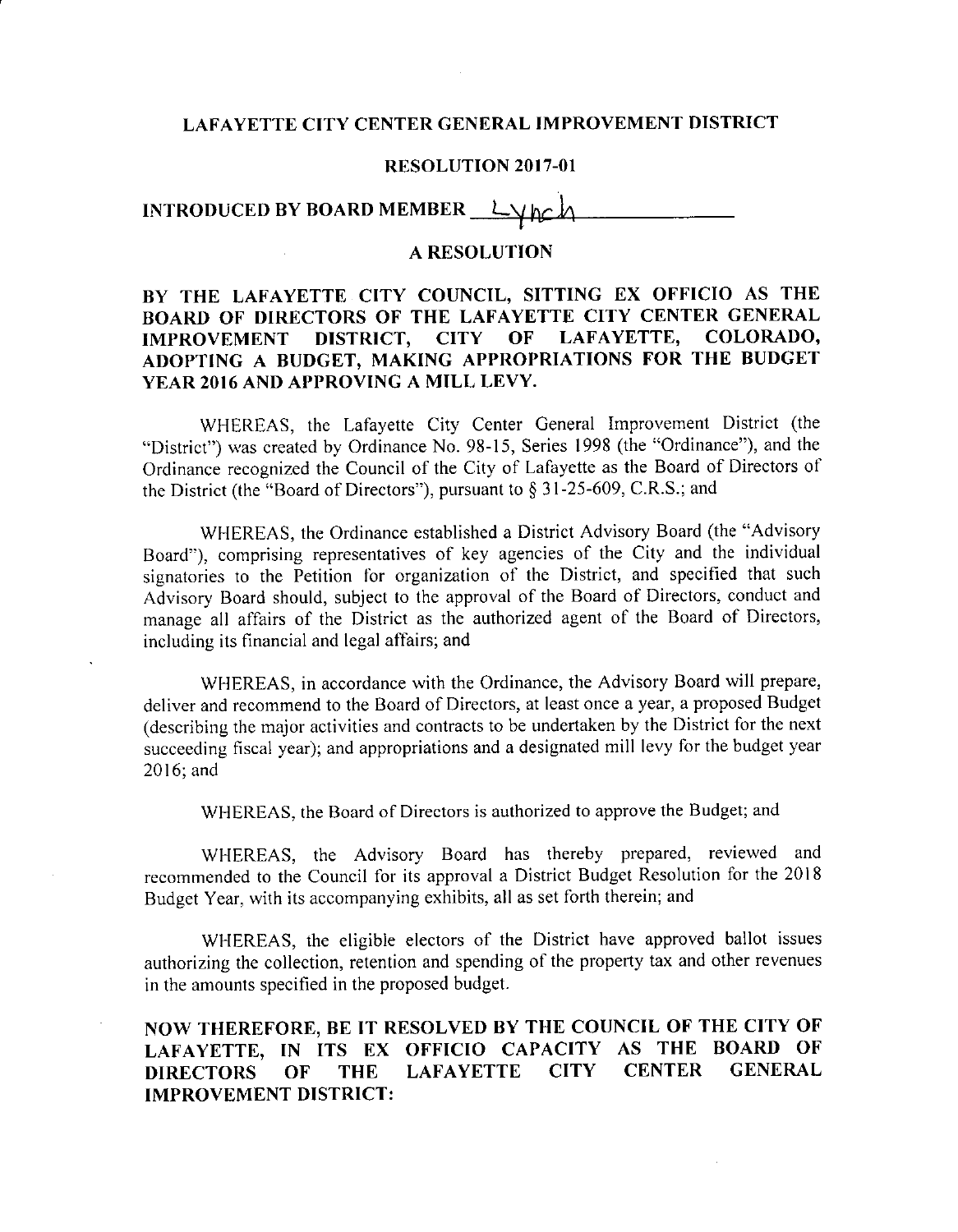#### LAFAYETTE CITY CENTER GENERAL IMPROVEMENT DISTRICT

#### RESOLUTION 2017-01

INTRODUCED BY BOARD MEMBER

### A RESOLUTION

# BY THE LAFAYETTE CITY COUNCIL, SITTING EX OFFICIO AS THE BOARD OF DIRECTORS OF THE LAFAYETTE CITY CENTER GENERAL IMPROVEMENT DISTRICT. CITY OF LAFAYETTE, COLORADO, IMPROVEMENT DISTRICT, CITY OF ADOPTING A BUDGET, MAKING APPROPRIATIONS FOR THE BUDGET YEAR 2016 AND APPROVING A MILL LEVY.

WHEREAS, the Lafayette City Center General Improvement District ( the District") was created by Ordinance No. 98-15, Series 1998 (the "Ordinance"), and the Ordinance recognized the Council of the City of Lafayette as the Board of Directors of "District") was created by Ordinance No. 98-15, Series 1998 (the "Ordinance")<br>Ordinance recognized the Council of the City of Lafayette as the Board of Directors The District (the "Board of Directors"), pursuant to § 31-2

WHEREAS, the Ordinance established <sup>a</sup> District Advisory Board (the "Advisory Board"), comprising representatives of key agencies of the City and the individual signatories to the Petition for organization of the District, and specified that such Advisory Board should, subject to the approval of the Board of Directors, conduct and manage all affairs of the District as the authorized agent of the Board of Directors, including its financial and legal affairs; and

WHEREAS, in accordance with the Ordinance, the Advisory Board will prepare, deliver and recommend to the Board of Directors, at least once a year, a proposed Budge describing the major activities and contracts to be undertaken by the District for the next succeeding fiscal year); and appropriations and <sup>a</sup> designated mill levy for the budget year 2016; and

WHEREAS, the Board of Directors is authorized to approve the Budget; and

WHEREAS, the Advisory Board has thereby prepared, reviewed and recommended to the Council for its approval <sup>a</sup> District Budget Resolution for the <sup>2018</sup> Budget Year, with its accompanying exhibits, all as set forth therein; and

WHEREAS, the eligible electors of the District have approved ballot issues authorizing the collection, retention and spending of the property tax and other revenues in the amounts specified in the proposed budget.

# NOW THEREFORE, BE IT RESOLVED BY THE COUNCIL OF THE CITY OF LAFAYETTE, IN ITS EX OFFICIO CAPACITY AS THE BOARD OF DIRECTORS OF THE LAFAYETTE IMPROVEMENT DISTRICT: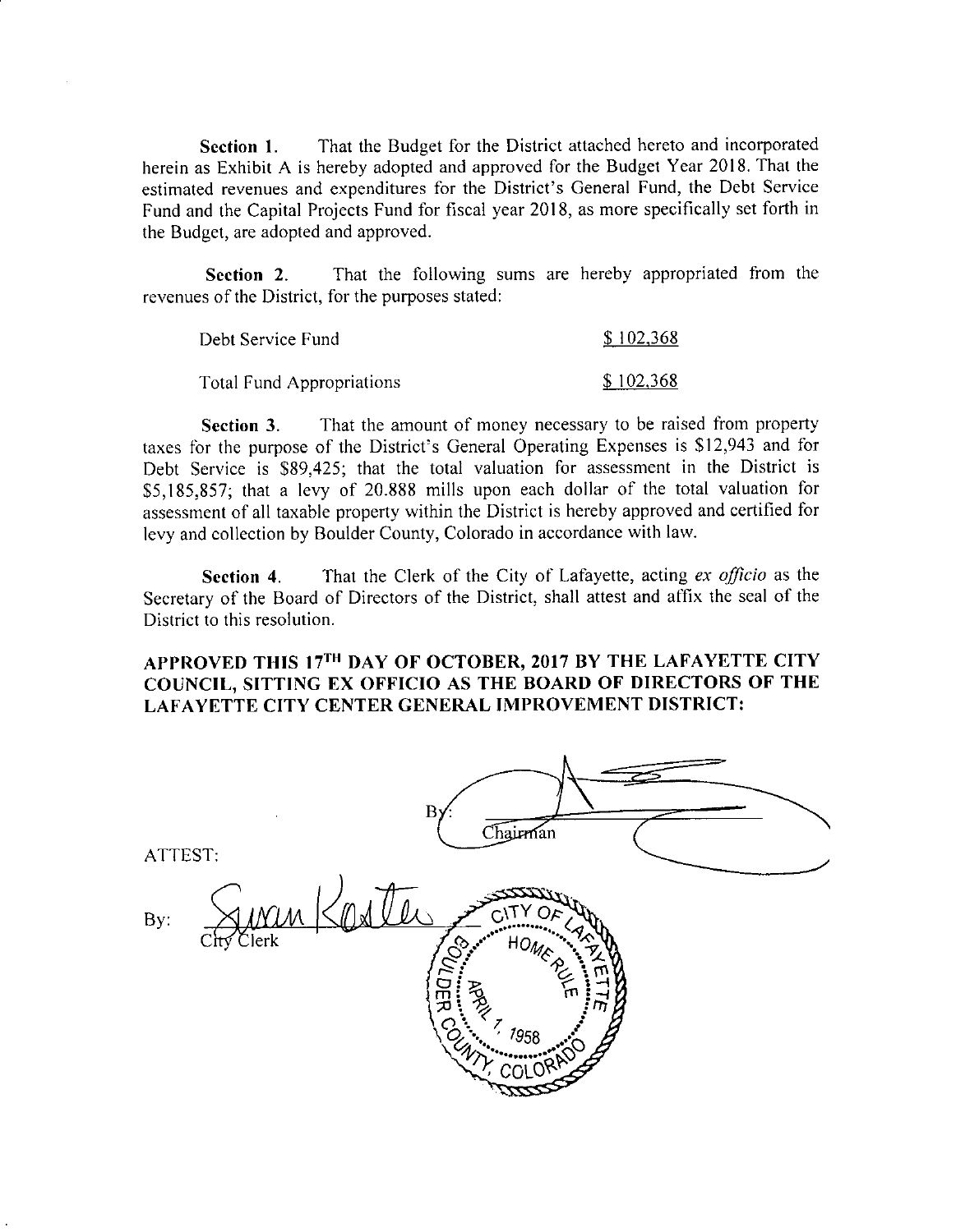Section 1. That the Budget for the District attached hereto and incorporated herein as Exhibit A is hereby adopted and approved for the Budget Year 2018. That the estimated revenues and expenditures for the District's General Fund, the Debt Service Fund and the Capital Projects Fund for fiscal year 2018, as more specifically set forth in the Budget, are adopted and approved.

Section 2. That the following sums are hereby appropriated from the revenues of the District, for the purposes stated:

| Debt Service Fund         | \$102,368 |
|---------------------------|-----------|
| Total Fund Appropriations | \$102,368 |

Section 3. That the amount of money necessary to be raised from property taxes for the purpose of the District's General Operating Expenses is \$12,943 and for Debt Service is \$89,425; that the total valuation for assessment in the District is taxes for the purpose of the District's General Operating Expenses is \$12,943 and to<br>Debt Service is \$89,425; that the total valuation for assessment in the District is<br>\$5,185,857; that a levy of 20.888 mills upon each dol assessment of all taxable property within the District is hereby approved and certified for levy and collection by Boulder County, Colorado in accordance with law.

Section 4. That the Clerk of the City of Lafayette, acting ex officio as the Secretary of the Board of Directors of the District, shall attest and affix the seal of the District to this resolution.

# APPROVED THIS 17<sup>TH</sup> DAY OF OCTOBER, 2017 BY THE LAFAYETTE CITY COUNCIL, SITTING EX OFFICIO AS THE BOARD OF DIRECTORS OF THE LAFAYETTE CITY CENTER GENERAL IMPROVEMENT DISTRICT:

| ATTEST:              | B <sub>1</sub><br>Chairman                                                      |  |
|----------------------|---------------------------------------------------------------------------------|--|
| By:<br>Clerk<br>City | جرت<br>HOMER<br>50<br><b>MIDER COMPANY</b><br>m<br>$\frac{7}{1958}$<br>COLORADO |  |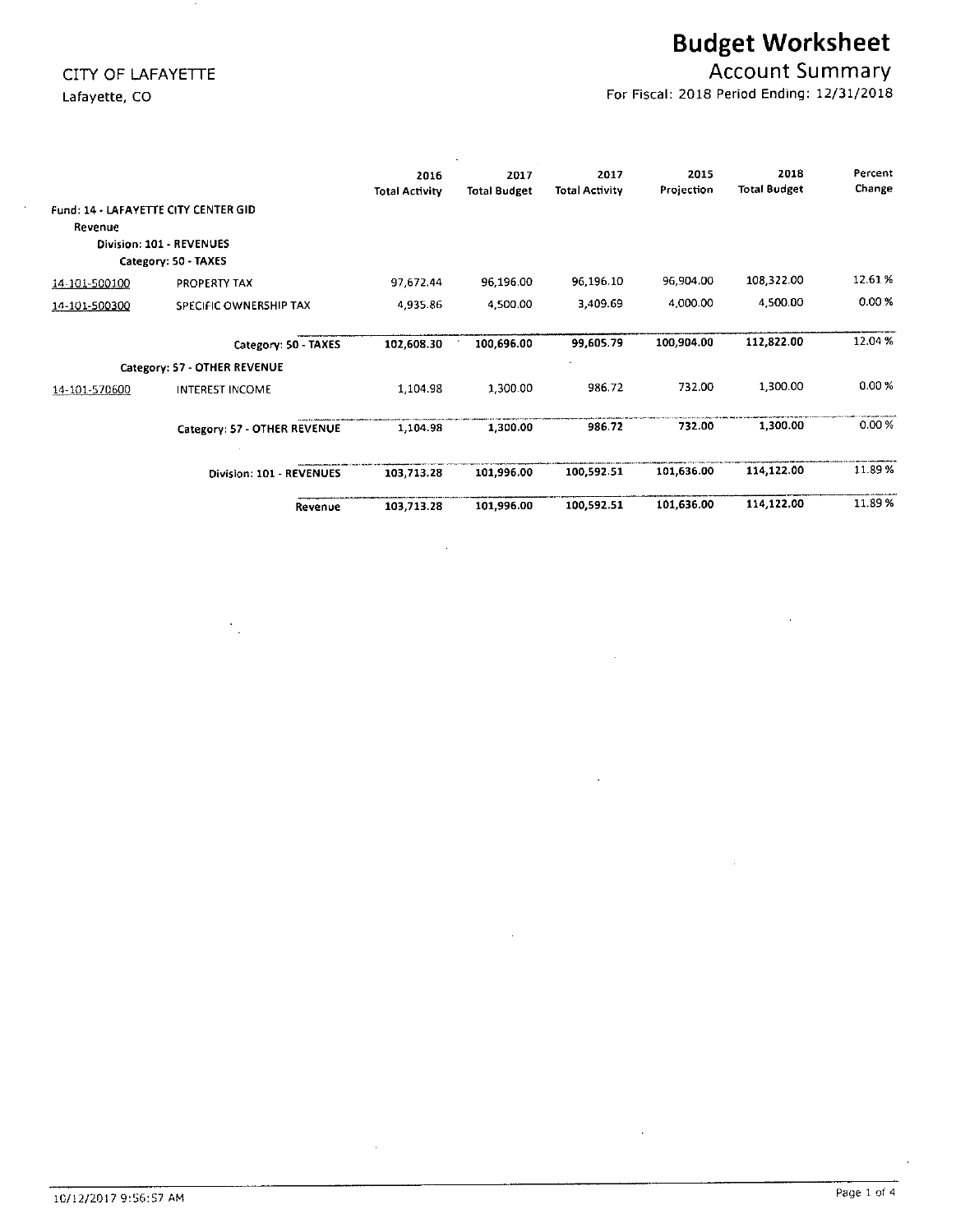# Budget Worksheet

# CITY OF LAFAYETTE **ACCOUNT SUMMARY CITY OF LAFAYETTE**

Lafayette, CO **For Fiscal: 2018 Period Ending: 12/31/2018** 

|                                                 |                                                  | 2016<br><b>Total Activity</b> | 2017<br><b>Total Budget</b> | 2017<br><b>Total Activity</b> | 2015<br>Projection | 2018<br><b>Total Budget</b> | Percent<br>Change |
|-------------------------------------------------|--------------------------------------------------|-------------------------------|-----------------------------|-------------------------------|--------------------|-----------------------------|-------------------|
| Fund: 14 - LAFAYETTE CITY CENTER GID<br>Revenue | Division: 101 - REVENUES<br>Category: 50 - TAXES |                               |                             |                               |                    |                             |                   |
| 14-101-500100                                   | PROPERTY TAX                                     | 97,672.44                     | 96,196.00                   | 96,196.10                     | 96,904.00          | 108,322.00                  | 12.61%            |
| 14-101-500300                                   | SPECIFIC OWNERSHIP TAX                           | 4,935.86                      | 4,500.00                    | 3.409.69                      | 4,000.00           | 4,500.00                    | 0.00%             |
|                                                 | Category: 50 - TAXES                             | 102,608.30                    | 100,696.00                  | 99,605.79                     | 100,904.00         | 112,822.00                  | 12.04%            |
|                                                 | Category: 57 - OTHER REVENUE                     |                               |                             |                               |                    |                             |                   |
| 14-101-570600                                   | <b>INTEREST INCOME</b>                           | 1,104.98                      | 1,300.00                    | 986.72                        | 732.00             | 1,300.00                    | 0.00%             |
|                                                 | Category: 57 - OTHER REVENUE                     | 1,104.98                      | 1,300.00                    | 986.72                        | 732.00             | 1,300.00                    | 0.00%             |
|                                                 | Division: 101 - REVENUES                         | 103,713.28                    | 101,996.00                  | 100.592.51                    | 101,636.00         | 114,122.00                  | 11.89 %           |
|                                                 | Revenue                                          | 103,713.28                    | 101,996.00                  | 100,592.51                    | 101,636.00         | 114,122.00                  | 11.89 %           |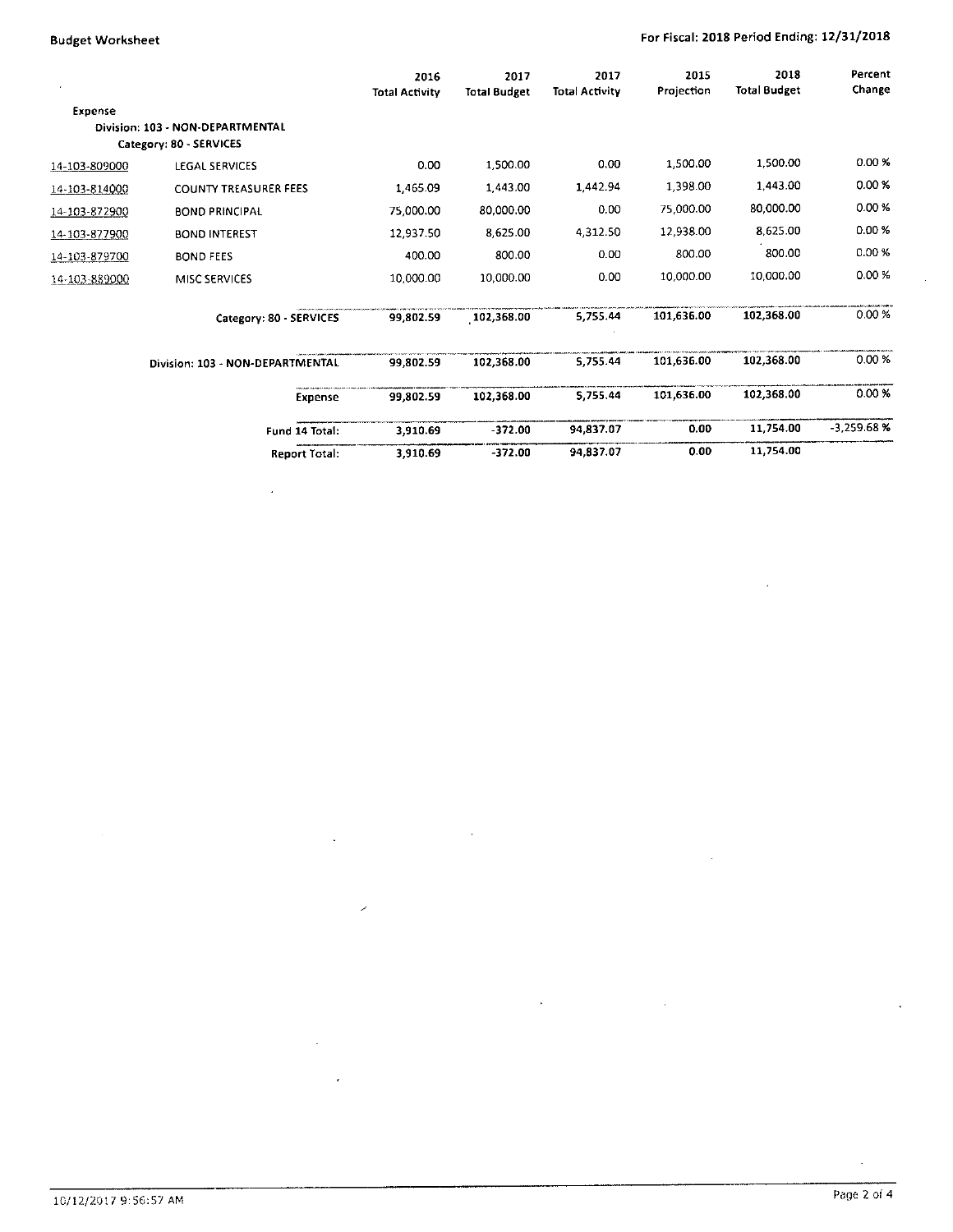# Budget Worksheet **For Fiscal: 2018 Period Ending: 12/31/2018**

 $\ddot{\phantom{0}}$ 

|               |                                  | 2016<br><b>Total Activity</b> | 2017<br><b>Total Budget</b> | 2017<br><b>Total Activity</b> | 2015<br>Projection | 2018<br><b>Total Budget</b> | Percent<br>Change |
|---------------|----------------------------------|-------------------------------|-----------------------------|-------------------------------|--------------------|-----------------------------|-------------------|
| Expense       |                                  |                               |                             |                               |                    |                             |                   |
|               | Division: 103 - NON-DEPARTMENTAL |                               |                             |                               |                    |                             |                   |
|               | Category: 80 - SERVICES          |                               |                             |                               |                    |                             |                   |
| 14-103-809000 | LEGAL SERVICES                   | 0.00                          | 1,500.00                    | 0.00                          | 1,500.00           | 1,500.00                    | 0.00%             |
| 14-103-814000 | <b>COUNTY TREASURER FEES</b>     | 1,465.09                      | 1,443.00                    | 1,442.94                      | 1,398.00           | 1,443.00                    | 0.00 X            |
| 14-103-872900 | <b>BOND PRINCIPAL</b>            | 75,000.00                     | 80,000.00                   | 0.00                          | 75,000.00          | 80,000.00                   | 0.00 %            |
| 14-103-877900 | <b>BOND INTEREST</b>             | 12,937.50                     | 8,625.00                    | 4,312.50                      | 12,938.00          | 8,625.00                    | 0.00%             |
| 14-103-879700 | <b>BOND FEES</b>                 | 400.00                        | 800.00                      | 0.00                          | 800.00             | 800.00                      | 0.00 %            |
| 14-103-889000 | MISC SERVICES                    | 10,000.00                     | 10,000.00                   | 0.00                          | 10,000.00          | 10,000.00                   | 0.00%             |
|               | Category: 80 - SERVICES          | 99,802.59                     | 102,368.00                  | 5,755.44                      | 101,636.00         | 102,368.00                  | 0.00%             |
|               | Division: 103 - NON-DEPARTMENTAL | 99,802.59                     | 102,368.00                  | 5.755.44                      | 101,636.00         | 102,368.00                  | 0.00%             |
|               | <b>Expense</b>                   | 99,802.59                     | 102,368.00                  | 5.755.44                      | 101,636.00         | 102,368.00                  | 0.00 %            |
|               | Fund 14 Total:                   | 3,910.69                      | $-372.00$                   | 94,837.07                     | 0.00               | 11,754.00                   | $-3,259.68%$      |
|               | <b>Report Total:</b>             | 3.910.69                      | $-372.00$                   | 94,837.07                     | 0.00               | 11,754.00                   |                   |

 $\ddot{\phantom{a}}$ 

 $\hat{\boldsymbol{\epsilon}}$ 

 $\mathbb{I}$ 

 $\ddot{\phantom{a}}$ 

 $\mathcal{L}_{\mathcal{A}}$ 

 $\mathbf{r}$ 

 $\bar{\gamma}$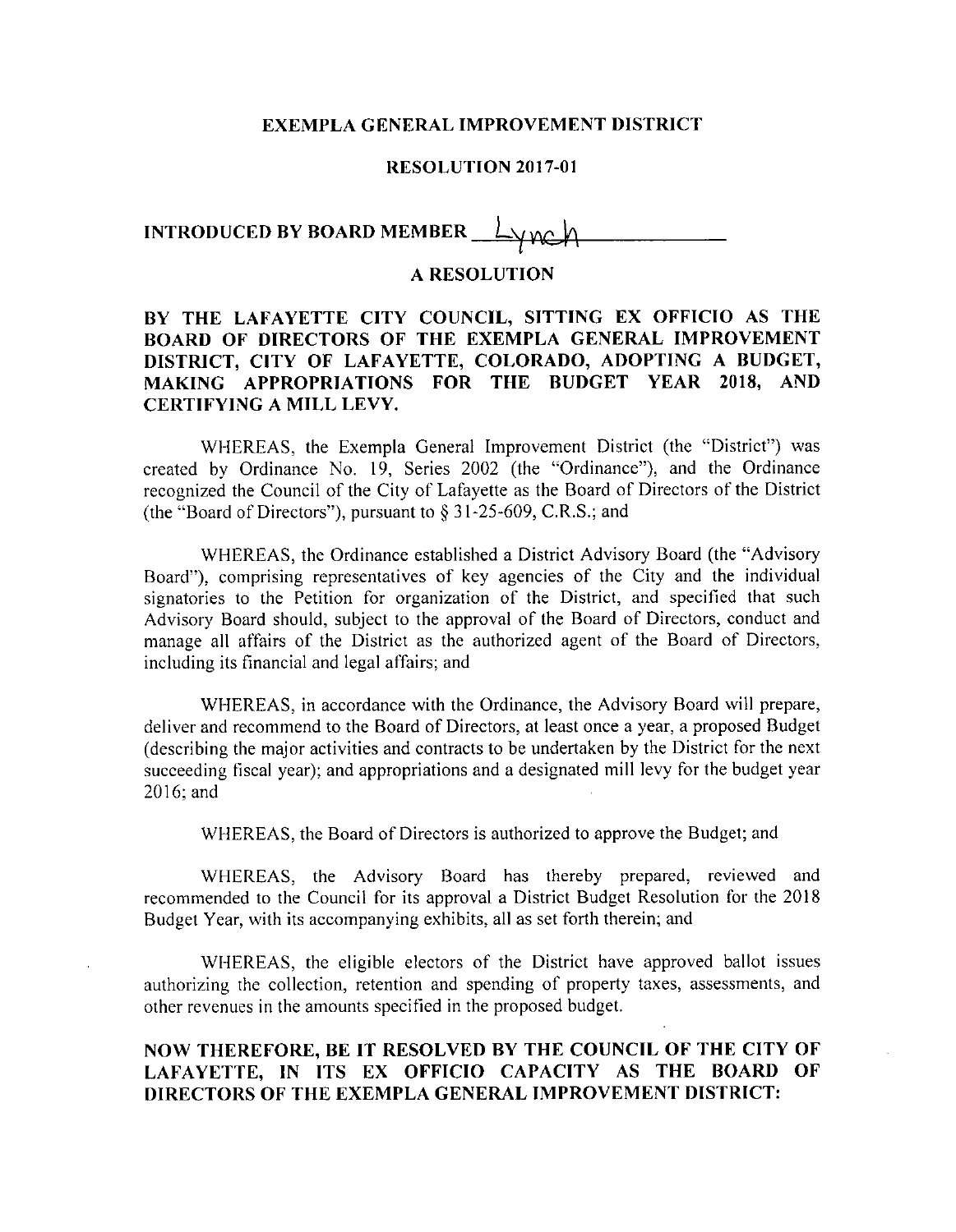#### EXEMPLA GENERAL IMPROVEMENT DISTRICT

#### RESOLUTION 2017-01

# INTRODUCED BY BOARD MEMBER  $\bot$   $\vee$  m

#### A RESOLUTION

# BY THE LAFAYETTE CITY COUNCIL, SITTING EX OFFICIO AS THE BOARD OF DIRECTORS OF THE EXEMPLA GENERAL IMPROVEMENT DISTRICT, CITY OF LAFAYETTE, COLORADO, ADOPTING A BUDGET, MAKING APPROPRIATIONS FOR THE BUDGET YEAR 2018, AND CERTIFYING A MILL LEVY.

WHEREAS, the Exempla General Improvement District (the "District") was created by Ordinance No. 19, Series 2002 (the "Ordinance"), and the Ordinance recognized the Council of the City of Lafayette as the Board of Directors of the Distric created by Ordinance No. 19, Series 2002 (the "Ordinance") recognized the Council of the City of Lafayette as the Board of D<br>(the "Board of Directors"), pursuant to § 31-25-609, C.R.S.; and

WHEREAS, the Ordinance established <sup>a</sup> District Advisory Board (the "Advisory Board"), comprising representatives of key agencies of the City and the individual signatories to the Petition for organization of the District, and specified that such Advisory Board should, subject to the approval of the Board of Directors, conduct and manage all affairs of the District as the authorized agent of the Board of Directors, including its financial and legal affairs; and

WHEREAS, in accordance with the Ordinance, the Advisory Board will prepare, deliver and recommend to the Board of Directors, at least once a year, a proposed Budge describing the major activities and contracts to be undertaken by the District for the next succeeding fiscal year); and appropriations and <sup>a</sup> designated mill levy for the budget year 2016; and

WHEREAS, the Board of Directors is authorized to approve the Budget; and

WHEREAS, the Advisory Board has thereby prepared, reviewed and recommended to the Council for its approval <sup>a</sup> District Budget Resolution for the <sup>2018</sup> Budget Year, with its accompanying exhibits, all as set forth therein; and

WHEREAS, the eligible electors of the District have approved ballot issues authorizing the collection, retention and spending of property taxes, assessments, and other revenues in the amounts specified in the proposed budget.

## NOW THEREFORE, BE IT RESOLVED BY THE COUNCIL OF THE CITY OF LAFAYETTE, IN ITS EX OFFICIO CAPACITY AS THE BOARD OF DIRECTORS OF THE EXEMPLA GENERAL IMPROVEMENT DISTRICT: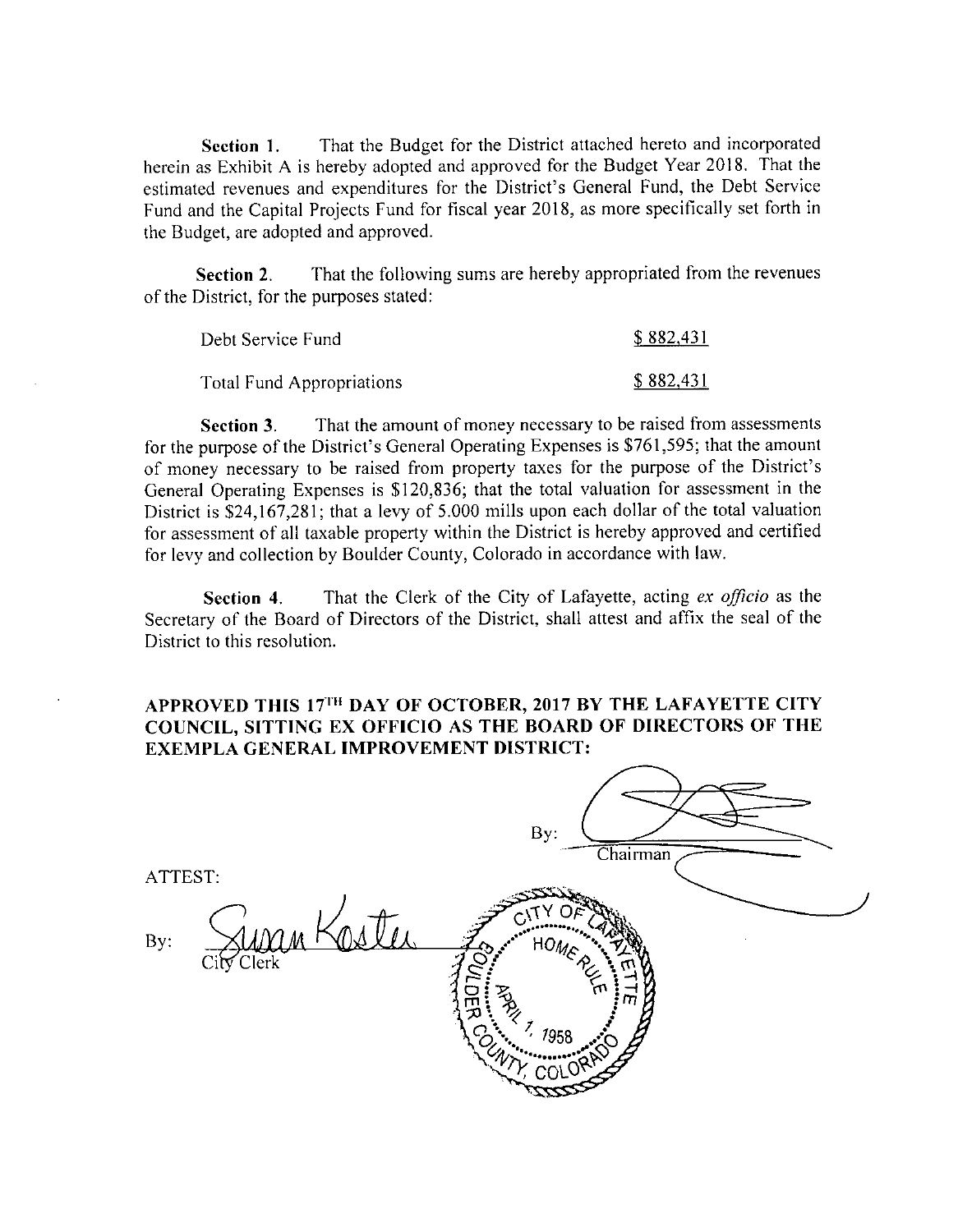Section 1. That the Budget for the District attached hereto and incorporated herein as Exhibit A is hereby adopted and approved for the Budget Year 2018. That the Section 1. That the Budget for the District attached nereto and incorporated<br>herein as Exhibit A is hereby adopted and approved for the Budget Year 2018. That the<br>estimated revenues and expenditures for the District's Gene Fund and the Capital Projects Fund for fiscal year 2018, as more specifically set forth in the Budget, are adopted and approved.

Section 2. That the following sums are hereby appropriated from the revenues of the District, for the purposes stated:

| Debt Service Fund         | \$882,431 |
|---------------------------|-----------|
| Total Fund Appropriations | \$882,431 |

Section 3. That the amount of money necessary to be raised from assessments **Section 3.** That the amount of money necessary to be raised from assessments for the purpose of the District's General Operating Expenses is \$761,595; that the amount Section 3. That the amount of money necessary to be raised from assessments<br>for the purpose of the District's General Operating Expenses is \$761,595; that the amoun<br>of money necessary to be raised from property taxes for t General Operating Expenses is \$120,836; that the total valuation for assessment in the General Operating Expenses is \$120,836; that the total valuation for assessment in the District is \$24,167,281; that a levy of 5.000 mills upon each dollar of the total valuation for assessment of all taxable property within the District is hereby approved and certified for levy and collection by Boulder County, Colorado in accordance with law.

Section 4. That the Clerk of the City of Lafayette, acting ex officio as the Secretary of the Board of Directors of the District, shall attest and affix the seal of the District to this resolution.

### APPROVED THIS 17<sup>TH</sup> DAY OF OCTOBER, 2017 BY THE LAFAYETTE CITY COUNCIL, SITTING EX OFFICIO AS THE BOARD OF DIRECTORS OF THE EXEMPLA GENERAL IMPROVEMENT DISTRICT:

|                |            | By:<br>Chairman                                                       |  |
|----------------|------------|-----------------------------------------------------------------------|--|
| ATTEST:<br>By: | City Clerk | HOMER -                                                               |  |
|                |            | <b>PORT</b><br>m<br>$\mathbb{Z}_{\mathbb{Z}}$<br>1958<br>$45^{\circ}$ |  |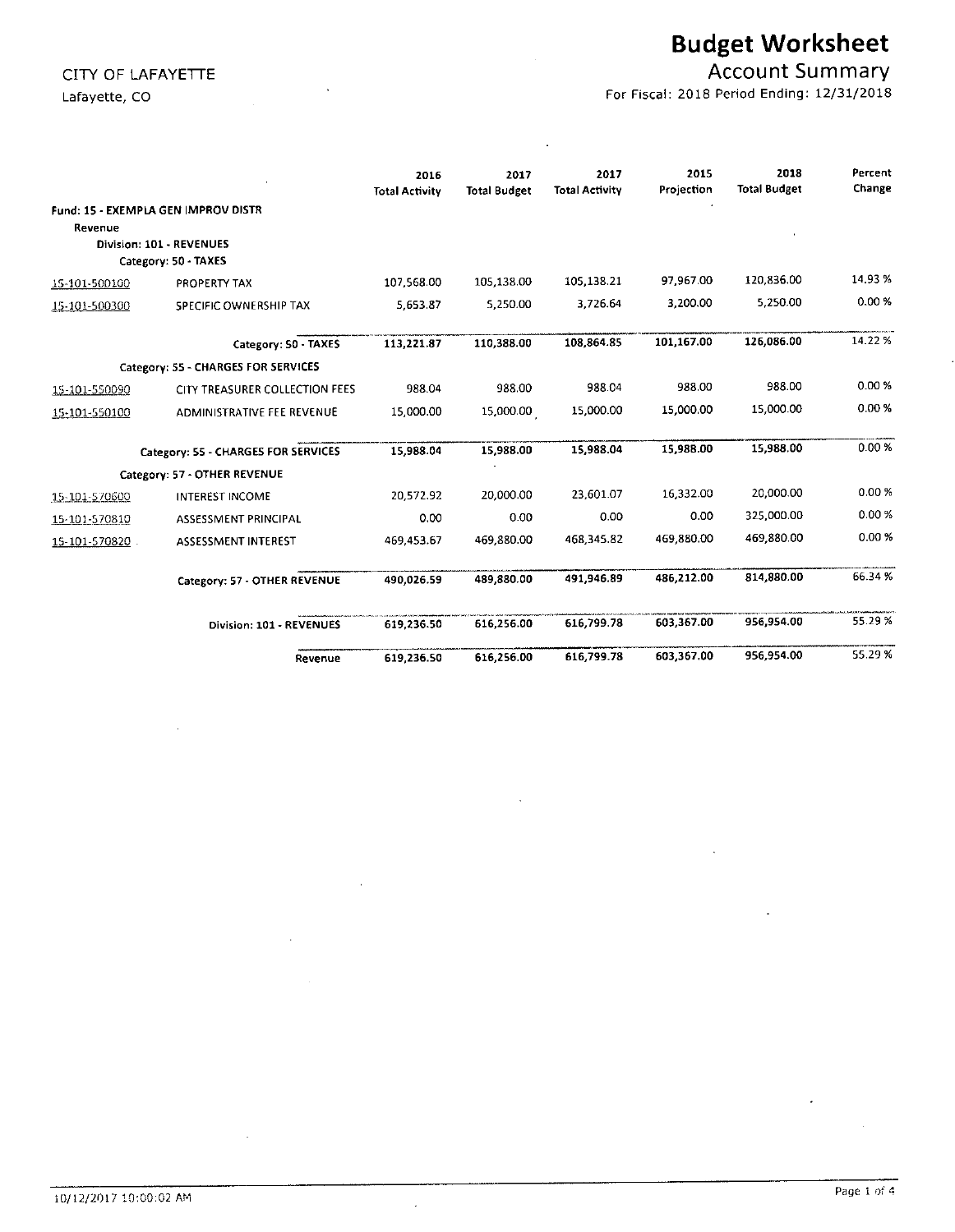# Budget Worksheet

# CITY OF LAFAYETTE ACCOUNT SUMMARY

Lafayette, CO **For Fiscal: 2018 Period Ending: 12/31/2018** 

|               |                                     | 2016<br><b>Total Activity</b> | 2017<br><b>Total Budget</b> | 2017<br><b>Total Activity</b> | 2015<br>Projection | 2018<br><b>Total Budget</b> | Percent<br>Change |
|---------------|-------------------------------------|-------------------------------|-----------------------------|-------------------------------|--------------------|-----------------------------|-------------------|
|               | Fund: 15 - EXEMPLA GEN IMPROV DISTR |                               |                             |                               |                    |                             |                   |
| Revenue       |                                     |                               |                             |                               |                    |                             |                   |
|               | Division: 101 - REVENUES            |                               |                             |                               |                    |                             |                   |
|               | Category: 50 - TAXES                |                               |                             |                               | 97,967.00          | 120,836.00                  | 14.93 %           |
| 15-101-500100 | PROPERTY TAX                        | 107,568.00                    | 105,138.00                  | 105 138.21                    |                    |                             |                   |
| 15-101-500300 | SPECIFIC OWNERSHIP TAX              | 5,653.87                      | 5,250.00                    | 3.726.64                      | 3,200.00           | 5,250.00                    | 0.00%             |
|               | Category: 50 - TAXES                | 113,221.87                    | 110,388.00                  | 108.864.85                    | 101,167.00         | 126.086.00                  | 14.22%            |
|               | Category: 55 - CHARGES FOR SERVICES |                               |                             |                               |                    |                             |                   |
| 15-101-550090 | CITY TREASURER COLLECTION FEES      | 988.04                        | 988.00                      | 988.04                        | 988.00             | 988.00                      | 0.00%             |
| 15-101-550100 | ADMINISTRATIVE FEE REVENUE          | 15,000.00                     | 15,000.00                   | 15,000.00                     | 15,000.00          | 15,000.00                   | 0.00 %            |
|               | Category: 55 - CHARGES FOR SERVICES | 15.988.04                     | 15,988.00                   | 15.988.04                     | 15,988.00          | 15,988.00                   | 0.00%             |
|               | Category: 57 - OTHER REVENUE        |                               |                             |                               |                    |                             |                   |
| 15-101-570600 | <b>INTEREST INCOME</b>              | 20,572.92                     | 20,000.00                   | 23.601.07                     | 16,332.00          | 20,000.00                   | 0.00%             |
| 15-101-570810 | ASSESSMENT PRINCIPAL                | 0.00                          | 0.00                        | 0.00                          | 0.00               | 325,000.00                  | 0.00%             |
| 15-101-570820 | ASSESSMENT INTEREST                 | 469,453.67                    | 469,880.00                  | 468,345.82                    | 469,880.00         | 469,880.00                  | 0.00%             |
|               | Category: 57 - OTHER REVENUE        | 490,026.59                    | 489,880.00                  | 491.946.89                    | 486,212.00         | 814,880.00                  | 66.34%            |
|               | Division: 101 - REVENUES            | 619,236.50                    | 616.256.00                  | 616.799.78                    | 603,367.00         | 956,954.00                  | 55.29 %           |
|               | Revenue                             | 619,236.50                    | 616,256.00                  | 616,799.78                    | 603,367.00         | 956,954.00                  | 55.29 %           |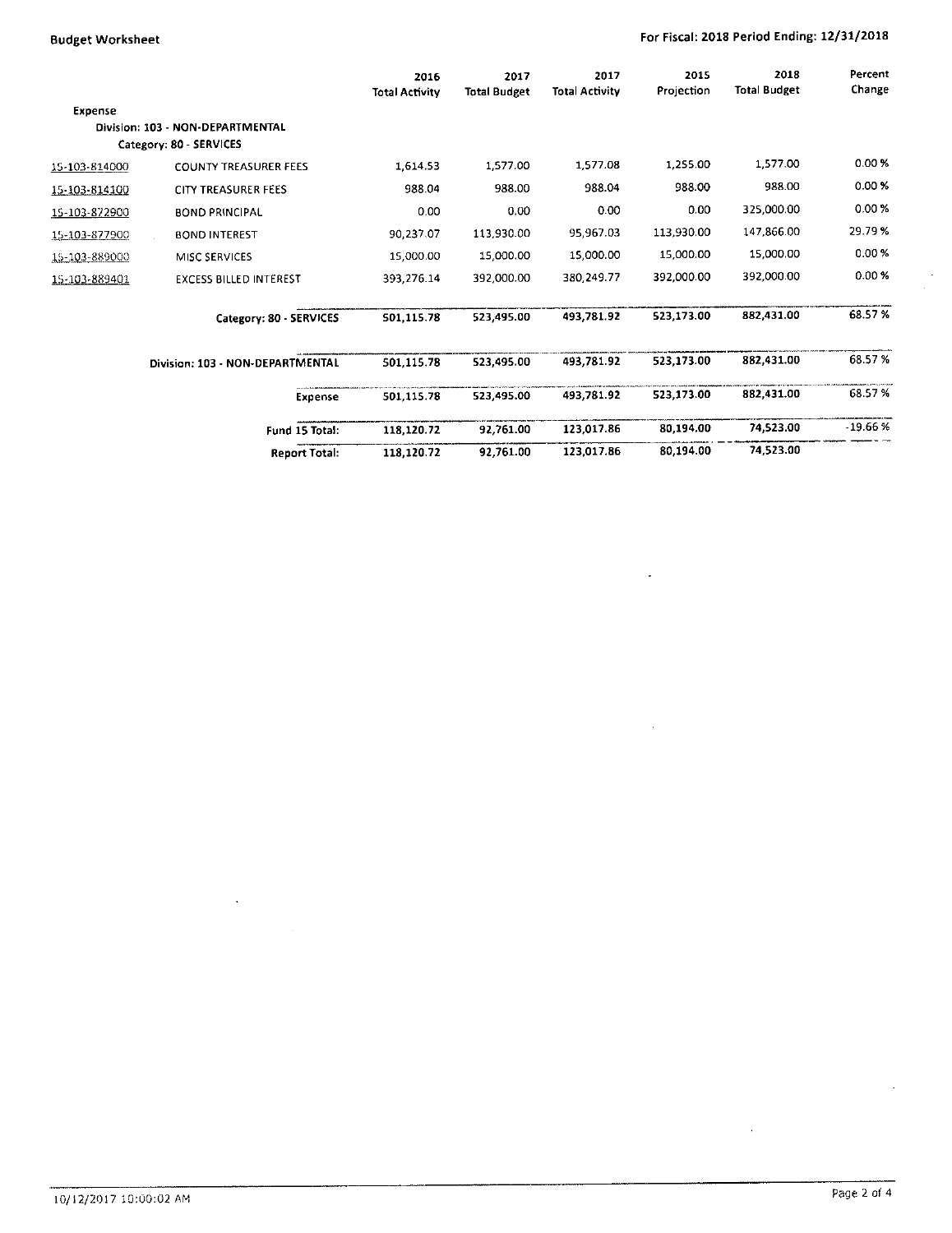# Budget Worksheet **For Fiscal: 2018 Period Ending: 12/31/2018**

 $\overline{\phantom{a}}$ 

 $\mathcal{L}$ 

 $\frac{1}{2}$ 

|               |                                  | 2016<br><b>Total Activity</b> | 2017<br><b>Total Budget</b> | 2017<br><b>Total Activity</b> | 2015<br>Projection | 2018<br><b>Total Budget</b> | Percent<br>Change |
|---------------|----------------------------------|-------------------------------|-----------------------------|-------------------------------|--------------------|-----------------------------|-------------------|
| Expense       |                                  |                               |                             |                               |                    |                             |                   |
|               | Division: 103 - NON-DEPARTMENTAL |                               |                             |                               |                    |                             |                   |
|               | Category: 80 - SERVICES          |                               |                             |                               |                    |                             |                   |
| 15-103-814000 | <b>COUNTY TREASURER FEES</b>     | 1,614.53                      | 1,577.00                    | 1,577.08                      | 1,255.00           | 1,577.00                    | 0.00%             |
| 15-103-814100 | CITY TREASURER FEES              | 988.04                        | 988.00                      | 988.04                        | 988.00             | 988.00                      | 0.00%             |
| 15-103-872900 | <b>BOND PRINCIPAL</b>            | 0.00                          | 0.00                        | 0.00                          | 0.00               | 325,000.00                  | 0.00%             |
| 15-103-877900 | <b>BOND INTEREST</b>             | 90,237.07                     | 113,930.00                  | 95 967.03                     | 113,930.00         | 147,866.00                  | 29.79%            |
| 15-103-889000 | MISC SERVICES                    | 15,000.00                     | 15,000.00                   | 15,000.00                     | 15,000.00          | 15,000.00                   | 0.00%             |
| 15-103-889401 | <b>EXCESS BILLED INTEREST</b>    | 393,276.14                    | 392,000.00                  | 380.249.77                    | 392,000.00         | 392,000.00                  | 0.00%             |
|               | Category: 80 - SERVICES          | 501,115.78                    | 523,495.00                  | 493,781.92                    | 523,173.00         | 882,431.00                  | 68.57%            |
|               | Division: 103 - NON-DEPARTMENTAL | 501,115.78                    | 523,495.00                  | 493.781.92                    | 523,173.00         | 882,431.00                  | 68.57%            |
|               | Expense                          | 501,115.78                    | 523,495.00                  | 493,781.92                    | 523,173.00         | 882,431.00                  | 68.57 %           |
|               | Fund 15 Total:                   | 118,120.72                    | 92,761.00                   | 123,017.86                    | 80,194.00          | 74,523.00                   | $-19.66%$         |
|               | <b>Report Total:</b>             | 118,120.72                    | 92,761.00                   | 123,017.86                    | 80,194.00          | 74,523.00                   |                   |

 $\ddot{\phantom{a}}$ 

 $\hat{\mathbf{r}}$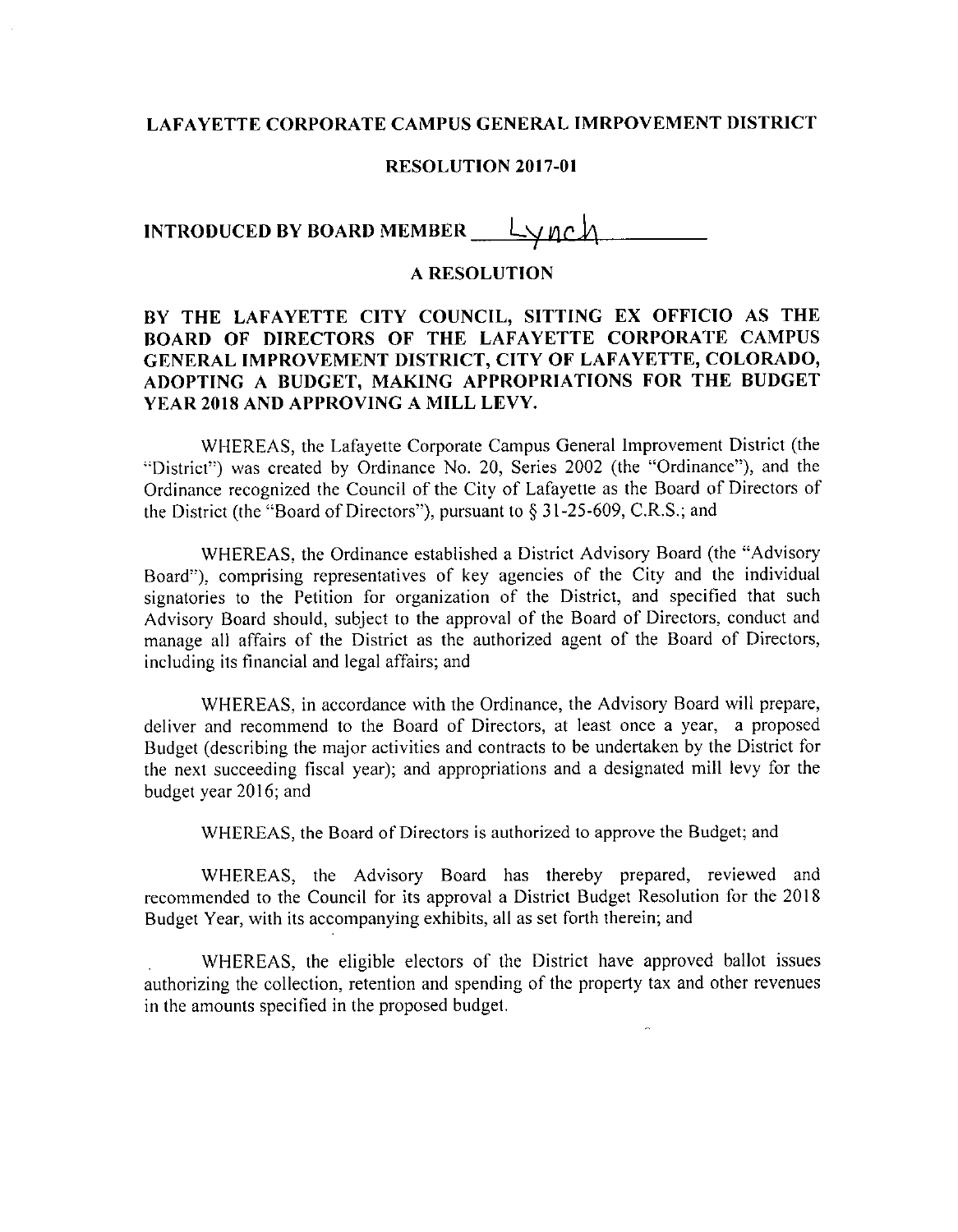### LAFAYETTE CORPORATE CAMPUS GENERAL IMRPOVEMENT DISTRICT

#### RESOLUTION 2017-01

# INTRODUCED BY BOARD MEMBER  $\_\,\_\,\_\,\_\,\_\,\_\,\_\,$

### A RESOLUTION

## BY THE LAFAYETTE CITY COUNCIL, SITTING EX OFFICIO AS THE BOARD OF DIRECTORS OF THE LAFAYETTE CORPORATE CAMPUS GENERAL IMPROVEMENT DISTRICT, CITY OF LAFAYETTE, COLORADO, ADOPTING <sup>A</sup> BUDGET, MAKING APPROPRIATIONS FOR THE BUDGET YEAR 2018 AND APPROVING A MILL LEVY.

WHEREAS, the Lafayette Corporate Campus General Improvement District (the District") was created by Ordinance No. 20, Series 2002 (the "Ordinance"), and the Ordinance recognized the Council of the City of Lafayette as the Board of Directors of the District (the "Board of Directors"), pursuant to  $\S$  31-25-609, C.R.S.; and

WHEREAS, the Ordinance established a District Advisory Board (the "Advisory Board"), comprising representatives of key agencies of the City and the individual signatories to the Petition for organization of the District, and specified that such Advisory Board should, subject to the approval of the Board of Directors, conduct and manage all affairs of the District as the authorized agent of the Board of Directors, including its financial and legal affairs; and

WHEREAS, in accordance with the Ordinance, the Advisory Board will prepare, deliver and recommend to the Board of Directors, at least once <sup>a</sup> year, <sup>a</sup> proposed Budget (describing the major activities and contracts to be undertaken by the District for the next succeeding fiscal year); and appropriations and <sup>a</sup> designated mill levy for the budget year 2016; and

WHEREAS, the Board of Directors is authorized to approve the Budget; and

WHEREAS, the Advisory Board has thereby prepared, reviewed and recommended to the Council for its approval <sup>a</sup> District Budget Resolution for the 2018 Budget Year, with its accompanying exhibits, all as set forth therein; and

WHEREAS, the eligible electors of the District have approved ballot issues authorizing the collection, retention and spending of the property tax and other revenues in the amounts specified in the proposed budget.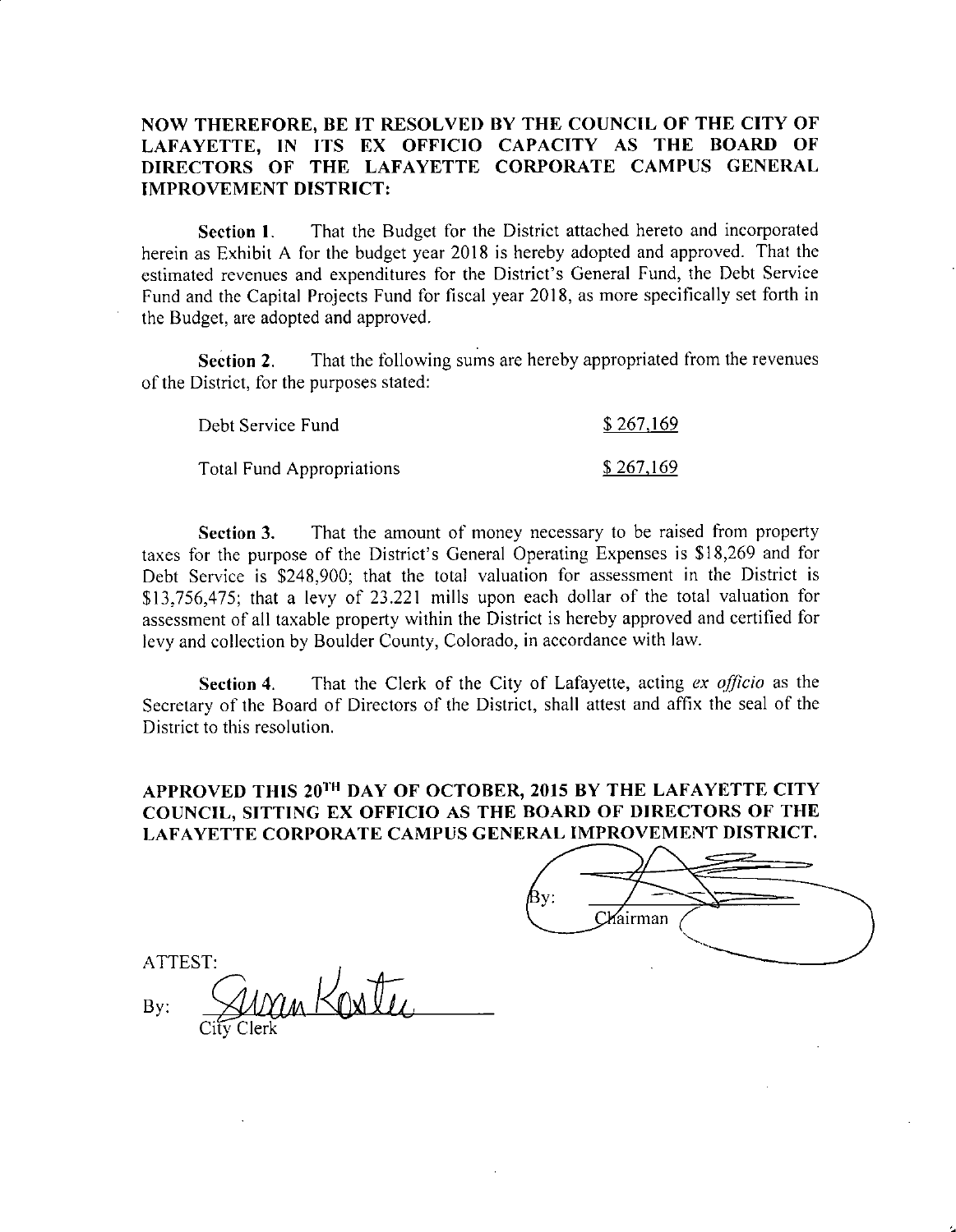### NOW THEREFORE, BE IT RESOLVED BY THE COUNCIL OF THE CITY OF LAFAYETTE, IN ITS EX OFFICIO CAPACITY AS THE BOARD OF DIRECTORS OF THE LAFAYETTE CORPORATE CAMPUS GENERAL IMPROVEMENT DISTRICT:

Section 1. That the Budget for the District attached hereto and incorporated herein as Exhibit A for the budget year 2018 is hereby adopted and approved. That the Section 1. That the Budget for the District attached hereto and incorporated<br>herein as Exhibit A for the budget year 2018 is hereby adopted and approved. That the<br>estimated revenues and expenditures for the District's Gene Fund and the Capital Projects Fund for fiscal year 2018, as more specifically set forth in the Budget, are adopted and approved.

Section 2. That the following sums are hereby appropriated from the revenues of the District, for the purposes stated:

| Debt Service Fund         | \$267,169 |
|---------------------------|-----------|
| Total Fund Appropriations | \$267,169 |

Section 3. That the amount of money necessary to be raised from property taxes for the purpose of the District's General Operating Expenses is \$18,269 and for Debt Service is \$248,900; that the total valuation for assessment in the District is Debt Service is \$248,900; that the total valuation for assessment in the District is<br>\$13,756,475; that a levy of 23.221 mills upon each dollar of the total valuation for assessment of all taxable property within the District is hereby approved and certified for levy and collection by Boulder County, Colorado, in accordance with law.

Section 4. That the Clerk of the City of Lafayette, acting ex officio as the Secretary of the Board of Directors of the District, shall attest and affix the seal of the District to this resolution.

# APPROVED THIS 20<sup>TH</sup> DAY OF OCTOBER, 2015 BY THE LAFAYETTE CITY COUNCIL, SITTING EX OFFICIO AS THE BOARD OF DIRECTORS OF THE LAFAYETTE CORPORATE CAMPUS GENERAL IMPROVEMENT DISTRICT.

| Вy: |          |  |
|-----|----------|--|
|     | Chairman |  |
|     |          |  |

ATTEST:  $\mathcal{B}$ y:  $\mathcal{A}$  $\overrightarrow{City}$   $\overrightarrow{C}$ an Kostu Clerk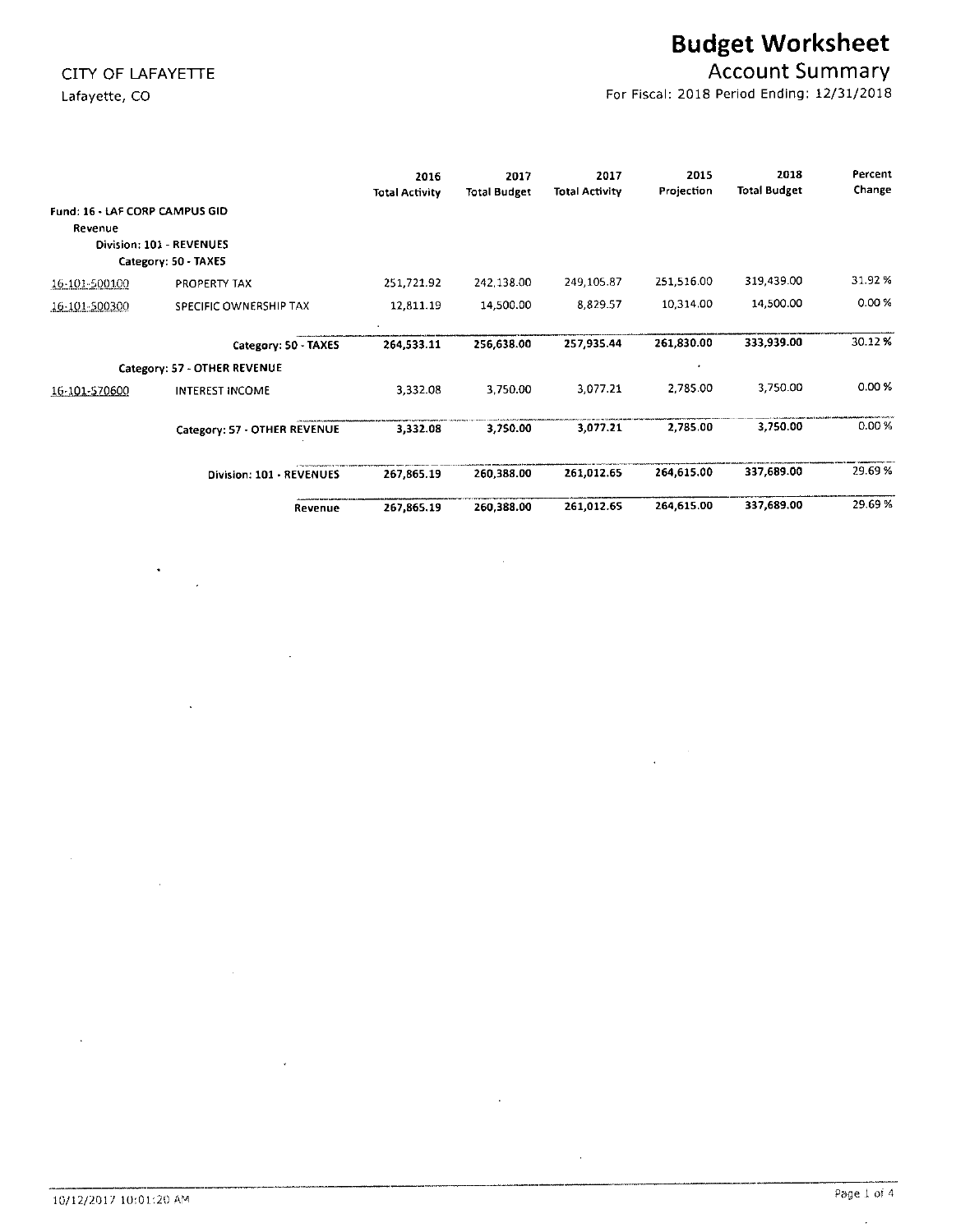$\ddot{\phantom{1}}$ 

# Budget Worksheet

# CITY OF LAFAYETTE CITY OF LAFAYETTE

Lafayette, CO **For Fiscal: 2018 Period Ending: 12/31/2018** 

|               |                                                  | 2016<br><b>Total Activity</b> | 2017<br><b>Total Budget</b> | 2017<br>Total Activity | 2015<br>Projection | 2018<br><b>Total Budget</b> | Percent<br>Change |
|---------------|--------------------------------------------------|-------------------------------|-----------------------------|------------------------|--------------------|-----------------------------|-------------------|
| Revenue       | Fund: 16 - LAF CORP CAMPUS GID                   |                               |                             |                        |                    |                             |                   |
|               | Division: 101 - REVENUES<br>Category: 50 - TAXES |                               |                             |                        |                    |                             |                   |
| 16-101-500100 | PROPERTY TAX                                     | 251,721.92                    | 242,138.00                  | 249, 105.87            | 251,516.00         | 319,439.00                  | 31.92 %           |
| 16-101-500300 | SPECIFIC OWNERSHIP TAX                           | 12,811.19                     | 14,500.00                   | 8.829.57               | 10,314.00          | 14,500.00                   | 0.00%             |
|               | Category: 50 - TAXES                             | 264,533.11                    | 256,638.00                  | 257,935.44             | 261,830.00         | 333,939.00                  | 30.12%            |
|               | Category: 57 - OTHER REVENUE                     |                               |                             |                        |                    |                             |                   |
| 16-101-570600 | <b>INTEREST INCOME</b>                           | 3,332.08                      | 3,750.00                    | 3.077.21               | 2,785.00           | 3,750.00                    | 0.00%             |
|               | Category: 57 - OTHER REVENUE                     | 3,332.08                      | 3,750.00                    | 3,077.21               | 2,785.00           | 3,750.00                    | 0.00%             |
|               | Division: 101 - REVENUES                         | 267,865.19                    | 260,388.00                  | 261,012.65             | 264,615.00         | 337,689.00                  | 29.69%            |
|               | Revenue                                          | 267,865.19                    | 260,388.00                  | 261,012.65             | 264,615.00         | 337,689.00                  | 29.69%            |

 $\Delta$ 

 $\mathcal{A}$ 

 $\hat{\boldsymbol{\alpha}}$ 

W

 $\sim$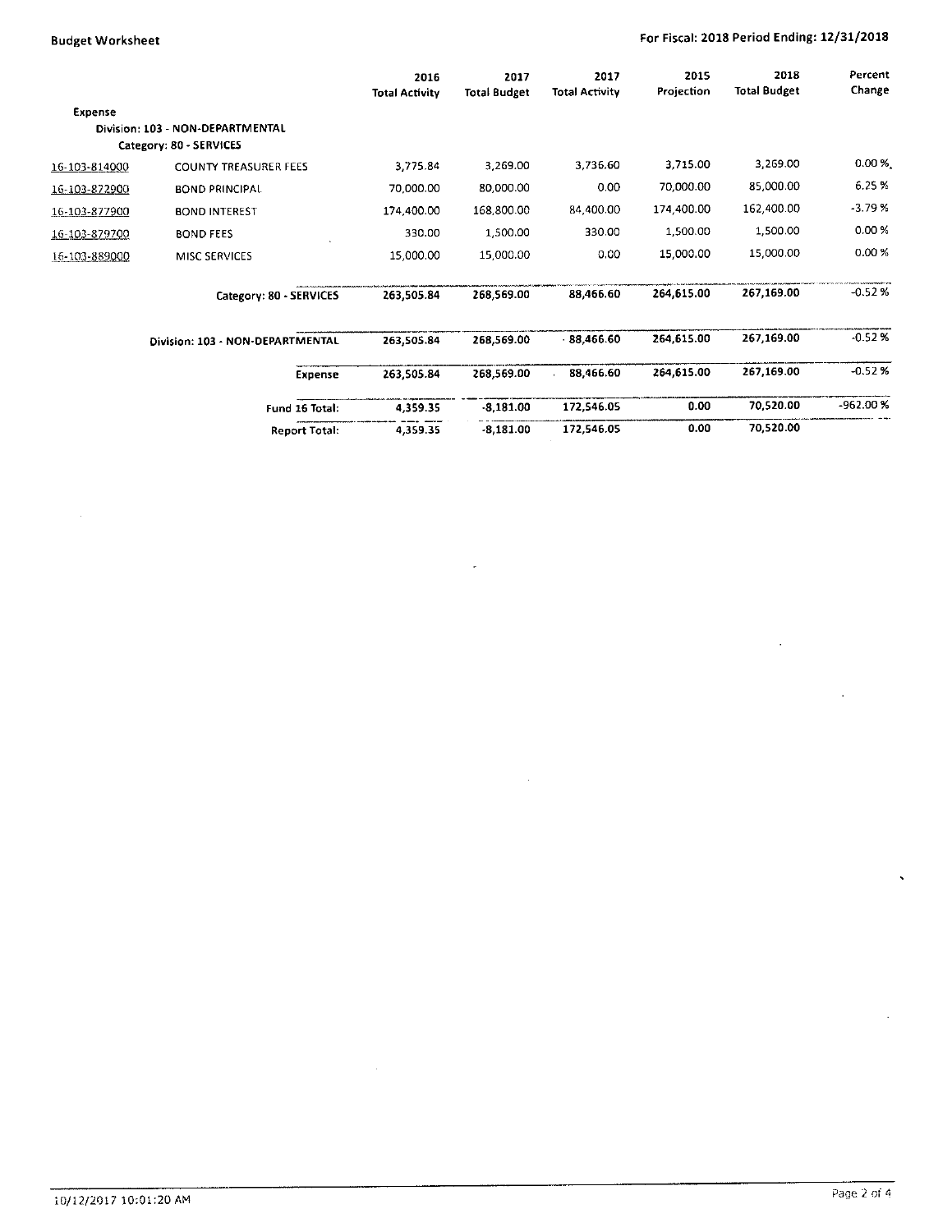$\bar{z}$ 

## Budget Worksheet **For Fiscal: 2018 Period Ending: 12/31/2018**

 $\sim$ 

|               |                                                             | 2016<br><b>Total Activity</b> | 2017<br><b>Total Budget</b> | 2017<br><b>Total Activity</b> | 2015<br>Projection | 2018<br><b>Total Budget</b> | Percent<br>Change |
|---------------|-------------------------------------------------------------|-------------------------------|-----------------------------|-------------------------------|--------------------|-----------------------------|-------------------|
| Expense       | Division: 103 - NON-DEPARTMENTAL<br>Category: 80 - SERVICES |                               |                             |                               |                    |                             |                   |
| 16-103-814000 | <b>COUNTY TREASURER FEES</b>                                | 3,775.84                      | 3,269.00                    | 3,736.60                      | 3,715.00           | 3,269.00                    | $0.00 \%$         |
| 16-103-872900 | <b>BOND PRINCIPAL</b>                                       | 70,000.00                     | 80,000.00                   | 0.00                          | 70,000.00          | 85,000.00                   | 6.25%             |
| 16-103-877900 | <b>BOND INTEREST</b>                                        | 174,400.00                    | 168,800.00                  | 84 400.00                     | 174,400.00         | 162,400.00                  | $-3.79%$          |
| 16-103-879700 | <b>BOND FEES</b>                                            | 330.00                        | 1,500.00                    | 330.00                        | 1,500.00           | 1,500.00                    | 0.00%             |
| 16-103-889000 | MISC SERVICES                                               | 15,000.00                     | 15,000.00                   | 0.00                          | 15,000.00          | 15,000.00                   | 0.00%             |
|               | Category: 80 - SERVICES                                     | 263,505.84                    | 268.569.00                  | 88 466.60                     | 264,615.00         | 267,169.00                  | $-0.520$          |
|               | Division: 103 - NON-DEPARTMENTAL                            | 263,505.84                    | 268,569.00                  | $-88,466.60$                  | 264,615.00         | 267,169.00                  | $-0.52$ %         |
|               | Expense                                                     | 263,505.84                    | 268,569.00                  | 88,466.60                     | 264,615.00         | 267,169.00                  | $-0.520$          |
|               | Fund 16 Total:                                              | 4,359.35                      | $-8,181.00$                 | 172,546.05                    | 0.00               | 70,520.00                   | -962.00 %         |
|               | Report Total:                                               | 4,359.35                      | $-8,181.00$                 | 172,546.05                    | 0.00               | 70,520.00                   |                   |

 $\overline{a}$ 

 $\mathcal{A}^{\mathcal{A}}$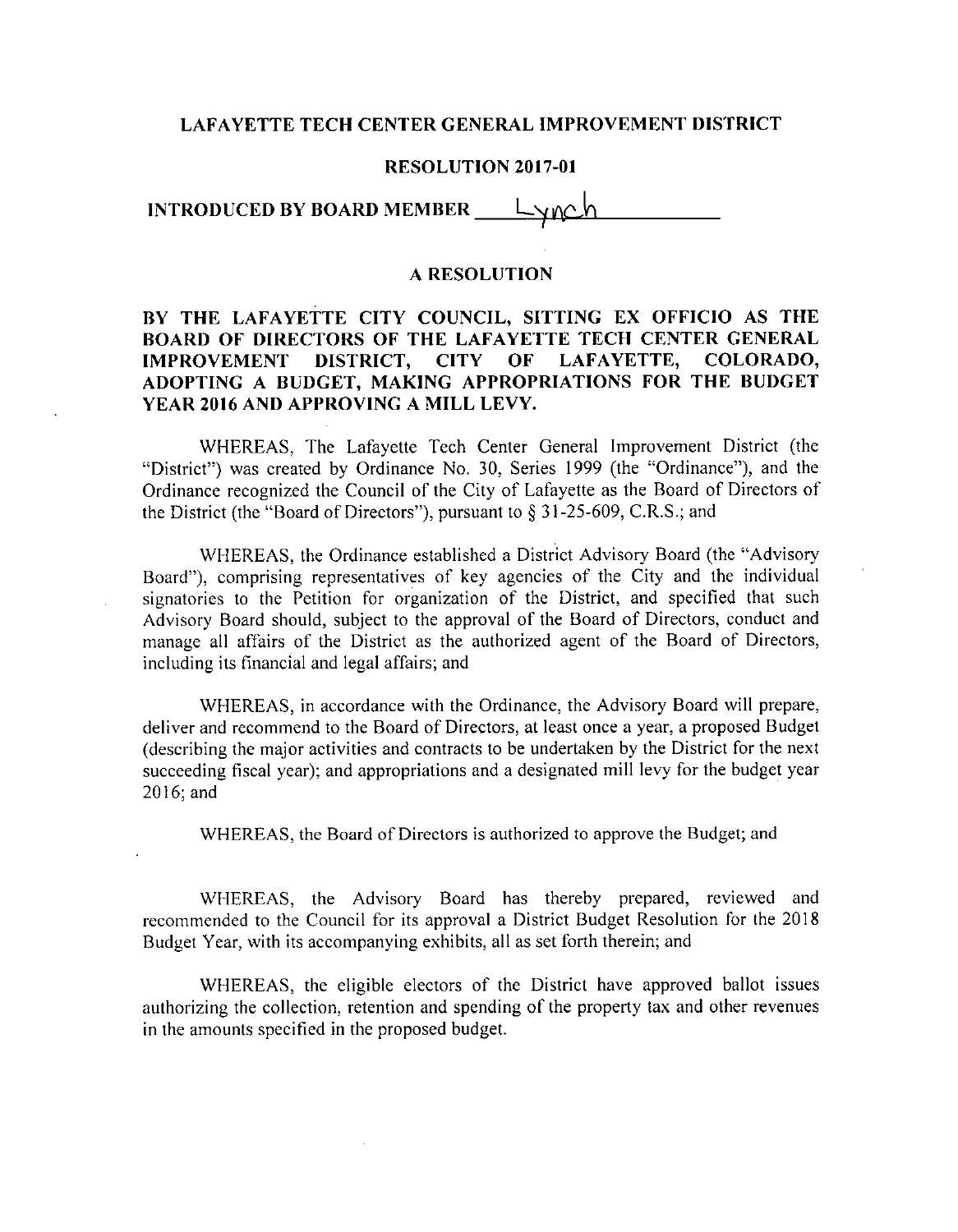#### LAFAYETTE TECH CENTER GENERAL IMPROVEMENT DISTRICT

#### RESOLUTION 2017-01

INTRODUCED BY BOARD MEMBER  $\_\,\_\,\_\,\_\,\_\,\_\,\_\,\_\,$ 

#### A RESOLUTION

## BY THE LAFAYETTE CITY COUNCIL, SITTING EX OFFICIO AS THE BOARD OF DIRECTORS OF THE LAFAYETTE TECH CENTER GENERAL IMPROVEMENT DISTRICT, CITY OF LAFAYETTE, COLORADO, ADOPTING A BUDGET, MAKING APPROPRIATIONS FOR THE BUDGET YEAR 2016 AND APPROVING A MILL LEVY.

WHEREAS, The Lafayette Tech Center General Improvement District (the "District") was created by Ordinance No. 30, Series 1999 (the "Ordinance"), and the Ordinance recognized the Council of the City of Lafayette as the Board of Directors of the District (the "Board of Directors"), pursuant Ordinance recognized the Council of the City of Lafayette as the Board of Directors of the District (the "Board of Directors"), pursuant to  $\S 31-25-609$ , C.R.S.; and

WHEREAS, the Ordinance established <sup>a</sup> District Advisory Board (the "Advisory Board"), comprising representatives of key agencies of the City and the individual signatories to the Petition for organization of the District, and specified that such Advisory Board should, subject to the approval of the Board of Directors, conduct and manage all affairs of the District as the authorized agent of the Board of Directors, including its financial and legal affairs; and

WHEREAS, in accordance with the Ordinance, the Advisory Board will prepare, deliver and recommend to the Board of Directors, at least once a year, a proposed Budge describing the major activities and contracts to be undertaken by the District for the next succeeding fiscal year); and appropriations and <sup>a</sup> designated mill levy for the budget year 2016; and

WHEREAS, the Board of Directors is authorized to approve the Budget; and

WHEREAS, the Advisory Board has thereby prepared, reviewed and recommended to the Council for its approval <sup>a</sup> District Budget Resolution for the <sup>2018</sup> Budget Year, with its accompanying exhibits, all as set forth therein; and

WHEREAS, the eligible electors of the District have approved ballot issues authorizing the collection, retention and spending of the property tax and other revenues in the amounts specified in the proposed budget.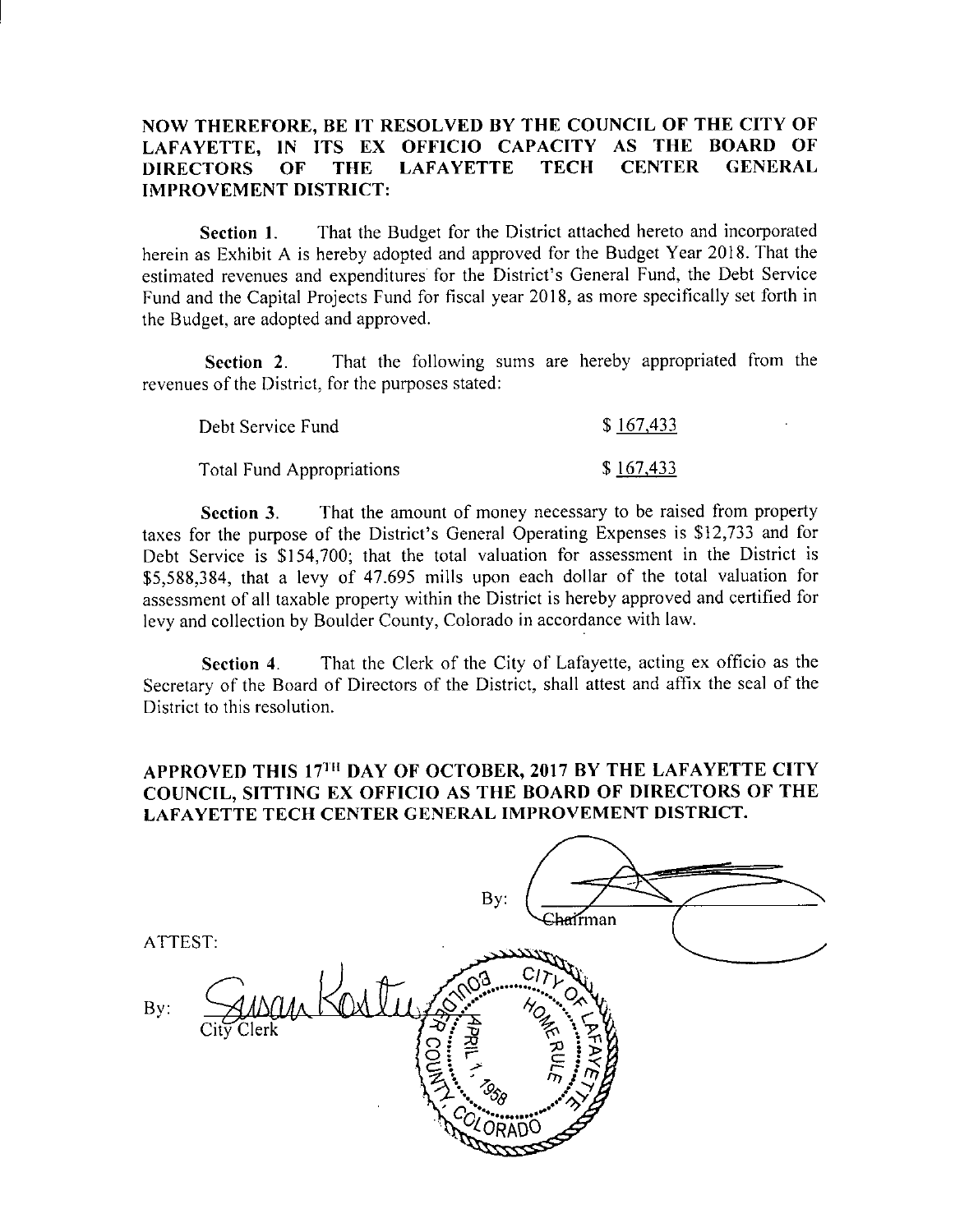### NOW THEREFORE, BE IT RESOLVED BY THE COUNCIL OF THE CITY OF LAFAYETTE, IN ITS EX OFFICIO CAPACITY AS THE BOARD OF DIRECTORS OF THE LAFAYETTE IMPROVEMENT DISTRICT:

Section 1. That the Budget for the District attached hereto and incorporated herein as Exhibit <sup>A</sup> is hereby adopted and approved for the Budget Year 2018. That the Section 1. That the Budget for the District attached nereto and incorporated<br>herein as Exhibit A is hereby adopted and approved for the Budget Year 2018. That the<br>estimated revenues and expenditures for the District's Gene Fund and the Capital Projects Fund for fiscal year 2018, as more specifically set forth in the Budget, are adopted and approved.

Section 2. That the following sums are hereby appropriated from the revenues of the District, for the purposes stated:

| Debt Service Fund                | \$167,433 |
|----------------------------------|-----------|
| <b>Total Fund Appropriations</b> | \$167,433 |

Section 3. That the amount of money necessary to be raised from property taxes for the purpose of the District's General Operating Expenses is \$12,733 and for Debt Service is \$154,700; that the total valuation for assessment in the District is taxes for the purpose of the District's General Operating Expenses is \$12,733 and for<br>Debt Service is \$154,700; that the total valuation for assessment in the District is<br>\$5,588,384, that a levy of 47.695 mills upon each d assessment of all taxable property within the District is hereby approved and certified for levy and collection by Boulder County, Colorado in accordance with law.

Section 4. That the Clerk of the City of Lafayette, acting ex officio as the Secretary of the Board of Directors of the District, shall attest and affix the seal of the District to this resolution.

## APPROVED THIS 17<sup>th</sup> DAY OF OCTOBER, 2017 BY THE LAFAYETTE CITY COUNCIL, SITTING EX OFFICIO AS THE BOARD OF DIRECTORS OF THE LAFAYETTE TECH CENTER GENERAL IMPROVEMENT DISTRICT.

| By:<br><del>Sha</del> irman                    |  |
|------------------------------------------------|--|
| ATTEST:                                        |  |
|                                                |  |
| Сı                                             |  |
| By:                                            |  |
| HOME R<br>City Clerk<br>-С                     |  |
| 4PRIL<br>O                                     |  |
|                                                |  |
| $\tau_{\rm D}$                                 |  |
| $z_{\delta_{\!\scriptscriptstyle\partial\!f}}$ |  |
|                                                |  |
|                                                |  |
|                                                |  |